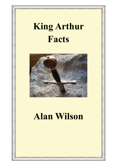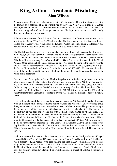#### **King Arthur – Academic Misdating Alan Wilson**

A major source of historical information is in the Welsh Annals. This information is set out in the form of brief notations of major events listed by the years. We get Year 1, then Year 2, then Year 3, and so on and on. The problem is simply one of "when was year one". This has been dealt with in typical academic incompetence or more likely political deviousness deliberately designed to obscure and confuse.

A famous letter was sent from Britain to Gaul and the time of this Communication was crucial to setting the date of Year 1 of the Welsh Annals. The letter was sent to Agitius according to Gildas, and to Aganypys or Aganipus in the Khumric Welsh Histories. There is in fact only one candidate for the recipient of this letter, and it would be hard to mistake him.

The English academics who are quite plainly Roman mad and talk incessantly of amazing, marvellous, wonderful, admirable, Romans and so on, have alleged that the letter was sent from Britain to Gaul and to the hated Romans and that it was addressed to the Hun general Aetius. This then allows the wrong date of around 440 or 444 AD to be set for Year 1 of the Welsh Annals. Once again a child can see that AG and not AE begin the name in the British records, and that the obvious recipient of the letter was Aegidius Afranius Flavius Syagrius the King of the Seven Cities, and ruler of most of Gaul in the era around 465 -485. He was also elected as King of the Franks for eight years when the Frank King was deposed for constantly abusing the wives of his noblemen.

Once the powerful Aegidius Afranius Flavius Syagrius is identified as the person to whom the letter was sent then the start date of the Welsh Annals is corrected to c AD 473. The result of this is to eliminate all the mass of muddles and confusions that bedevil and deface our ancient British history up until around 700 BC and sometimes long after that. The immediate effect is to transfer the Battle of Baedan from an impossible AD AD 517 to a very credible 551, and the catastrophic Battle of Camlann is corrected to around AD 569, and all this makes perfect historical sense.

It has to be understood that Christianity arrived in Britain in AD 37, and the early Christians were of different opinions regarding the nature of Jesus the Nazarene. One very large group thought that Jesus was a man when he was born, lived, and died. A second large number thought that he was born and lived as a man, but he became one with god when he died. The third group thought that he was born and lived as one with God and became united so when he died. This means that "the Incarnation" of Jesus the Nazarene was believed by the British to be when he died and the Romans believed the "the Incarnation" dated from when he was born. This is important because the only date given in the Bruts of England is that "King Arthur (meaning II) died 546 years after the Incarnation of the Lord". To the Roman Church and therefore to the English this would mean AD 546. To the Khumric Welsh this would mean  $546 + 33 = AD 579$ . This is the correct date for the death of King Arthur II, and all ancient British History is then correct.

Various previous misunderstood dates become correct. One example Maelgwn became King of Gwynedd (North West Wales) 169 years after Owain Ffindu. This Owain Ffindu (Blackbeard) was a brother of King Arthur I who died fighting the Irish in AD 434, and Maelgwn became King of Gwynedd when Arthur II died in AD 579. There are several other dates of this order in the Nennius Histories and they can all be now shown to be very accurate. Owain Ffindu is still buried in his grave mound at Llanhileth in Gwent alongside a church of St Illtyd a first cousin of Arthur II.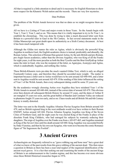All that is required is a little attention to detail and it is necessary for English Historians to show more respect for the Khumric Welsh nation and the records. There are very few mysteries.

#### Date Problem

The problem of the Welsh Annals however was that no dates as we might recognise them are given.

All we have is a Listing of Years and major events in those Years. So the Annals begin with Year 1, Year 2, Year 3, and so on. This means that it is vitally important to try to fix Year 1, to establish the chronology. This was done by trying to date a much discussed letter sent from Britain to a powerful ruler in Gaul in the 5th Century. In fact several statements made in the Gildas Manuscript cast great doubt upon its authenticity as a Sixth Century document. At best it has been much tampered with.

Although the Gildas text names the ruler as Agitus, which is obviously the powerful King Aegidius in northern Gaul, the English academic choice is instead, predictably and absurdly, the Roman Aetius. This selection of Roman Hun general Aetius, by the anti-British and pro-Roman, pro-Anglo Saxon academics, rather than the obvious Aegidius, who was King of all the Franks for eight years, is all the more peculiar as both the Brut Tyssilio and the Brut Gruffydd ap Arthur name the ruler in Gaul, who was the recipient of the letter, as Aganypus, Acanypys and Agitus, which is undoubtedly Aegidius, and nothing like Aetius.

These British-Khumric texts pre-date the much vaunted Gildas Text, which is only an alleged Fourteenth Century copy, and therefore they should be accorded more weight. The matter is important because a letter sent to Aetius would have to be sent around AD 440-444, and a letter sent to Aegidius would be sent around AD 479. If the sending of this letter influenced the setting of Year 1 of the Welsh Annals, then every subsequent dating could be some 35 years out.

By the academics wrongly choosing Aetius over Aegidius they have misdated Year 1 of the Welsh Annals to around AD 440-444, instead of the correct date of around AD 479. This obvious error then distorts all subsequent British History by around 35 years, and the dates of Arthur II are mangled 35 years too soon, and the great battles of Baedan and Camlann Valley are reduced to phantoms fought 35 years too early, and so on. Chaos results and all British 5th and 6th Century history is totally distorted.

The letter was sent to the friendly Aegidius Afranius Flavius Syagrius from Britain around AD 479, and no British regional king in the west midlands would ever have written to their Roman ENEMY Aetius around AD 444. Flavius Afranius Syagrius Aegidius was King of the Seven Cities of Northern Gaul, and for eight years he was elected King of the Franks in place of the dissolute Frank King Childeric, who had outraged his subjects by wantonly seducing their daughters. The reign of Aegidius over the Franks was from c AD 457-465, and Aegidius remained as King of the Seven Cities until his death around AD 480. King Aegidius was succeeded briefly by Duke Victorius, and then by his own son Syagrius, who went on to become the comic Romance figure of "Sir Sagremore the Foolish".

#### **3 Ancient Graves**

Archaeologists are frequently referred to as "grave robbing rag and bone men" but a great deal of what we know of the past results from this grave robbing of the ancient dead. This then raises a question in Britain as there has been a near total neglect of the organized identification of the ancient royal graves. It is a fact that seeking out and examining the tombs of the ancient Kings of Britain is an embarrassment to the London regime, and this has become ever more obvious since these British Historical researches began in 1976.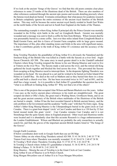If we look at the ancient 'Songs of the Graves' we find that this old poem contains clear place references to some 25 tombs of the illustrious dead of the British. There are also numbers of other references scattered through the ancient epic poems and records detailing precisely where the famous royal dead are buried. It remains extraordinary that what passes for academic research in Britain completely ignores the entire existence of the ancient royal families of the British nation. This may well be because the senior ancient royal family resided in South East Wales on the north banks of the Severn and not in South East England on the banks of the Thames.

The outstanding example is where King Arthur II principal ally the Prince Geraint was mortally wounded in the D-Day style battle in the surf on Llongborth Beach. Geraint was mortally wounded and a message was sent to fetch a coffin for him from Brittany. When Geraint died he was presumably buried in a stone coffin. Just over thee miles inland from Llongborth Beach is Bedd Geraint Farm, and this is Grave of Geraint Farm complete with its large grave mound. The importance of this, plus other standing stones and fields in the area with significant names, is that it contributes greatly to the truth of King Arthur II's existence and the accuracy of the records.

King Tewdrig-Theoderic the grandfather of King Arthur II is obviously the Natanleod and the foremost King of the British who was killed in a battle with the Saxons at a river ford. Anglo Saxon Chronicle AD 508. The same story in much greater detail is in the Llandaff cathedral Charters where King Tewdrig resigned the throne to his son Meurig-Maurice and went to live at Tintern on the river Wye. The Saxons made a raid across the river, and the retired old King gathered the locals together and blocked the ford across the river. This prevented the Saxons from escaping as King Maurice raced to intercept them. In the desperate fighting Theoderic was wounded on his head. He was placed in a cart and he wished to be buried on Echni Island (Flat Holm) in Cardiff Bay. He died at the well at Mathern and so they buried him there in a stone coffin and built a church over him. He has been excavated twice in 1617 and in1881, and his skull has a large wound. As it is possible to find Arthur II's grandfather the question has to be "what is so difficult in finding King Arthur II? Why not find a lot of the others?

This is one of the projects that occupied Alan Wilson and Baram Blackett over the years. Arthur I was easy as the twelve ancient place references to his tomb are straightforward. The great scraped out ditch is Offa's Dyke, the great road is Watling Street, Gwrtheyrn Strata, and so on and the great ancient cemetery of the British where multitudes of the illustrious of the British are buried is simple. Arthur II has the best recorded funeral in British ancient history, and the only problem is the Government and the academic "traffic cops" with their No Entry signs. King Arthur's father King Meurig-Maurice is the Utherpendragon buried in the giant circle at Caer Caradoc. There is a giant boat shaped 'circle' at Caer Caradoc and there is a 130 foot by 32 feet burial mound inside this giant 'circle'. Caer Caradoc remains Caer Caradoc and it is not Stonehenge that the quite lunatic ideas in England proposed. Other royal and illustrious tombs were located and it is abundantly clear that this accurate Research is a huge embarrassment to the London Establishment. Wilson and Blackett are probably the only researchers to actually search for, and find, the graves of the important ancient British leaders listed in "The Songs of the Graves".

Google Earth Locations.

If below coordinates dont work in Google Earth then use an OS Map Tintern Abbey on site where King Theoderic retired AD 508. 51 41 56 30 N. 2 40 35 77 W. Tintern Ford Area where Theoderic was mortally wounded. 51 41 56 63 N. 2 40 47 38 W. St Twedrig's Well where Theoderic-Tewdrig died. 51 37 01 47 N. 2 41 24 67 W. St Tewdrig's Church where Arthur II's grandfather is buried. 51 36 52 89 N. 2 41 24 51 W Bishop's Palace. 51 36 50 69 N. 2 41 24 01 W. King Maurice – Meurig the son of Tewdrig is in the Giant Circle at Caer Caradoc. King Arthur II son of Maurice is at St Peters Church. King Morgan Mwynfawr son of Arthur II is in Twyn Morgan Mwynfawr.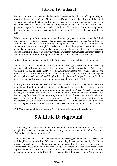#### **4 Arthur I & Arthur II**

Arthur I - born around AD 344 and died around AD 400 - was the eldest son of Emperor Magnus Maximus, the only son of Crispus Nobilis Flavius Caesar, who was the eldest son of the British Emperor Constantine the Great and the British Queen Minerva, who was the eldest son of the Emperor Constantius Chlorus and the British Empress Helen of the Cross. Arthur I was the chief general of Magnus Maximus, and invaded Gaul in AD 383, capturing Paris the stronghold of the Lady St.Genevieve - who becomes Lady Guinevere of the confused Romantic Arthurian tales.

This Arthur - copiously recorded in ancient Manuscript genealogies and known in British Manuscripts as the King of Greece - then defeated the massed armies of the Roman Emperor Gratian at Soissons, and chased him South to Lugdunum (Lyons), where he killed him. The campaigns of this Arthur I through Switzerland and on down through Italy, over to Greece, and up into the Balkans are well known and recorded. He fought two major battles against Theodosius of Constantinople in Illyria = Yugoslavia, where he was greatly outnumbered and finally defeated. Arthur I known to Latins as Andragathius made his way back to Britain in AD 388.

Bruts - Official histories of England - state Arthur would be crowned King of Glamorgan

The second Arthur was of course Arthur II son of King Meurig (Maurice) son of King Tewdrig, and so on back to Brutus. He was a sixth generation direct male line descendant of Arthur I, who was born c AD 503 and died in AD 579. This Arthur II fought the Jutes, Angles, Saxons, and others. He also had trouble over his heirs, and fought the Civil War battles with his nephew Modred ap Llew ap Cynfarch Oer of Llongborth, at Llongborth in Cardigan Bay, and at Camlann in the Camlann Valley below Camlann mountain just 10 miles south of Dollgelly.

Fatefully it was in his time that the Comet debris struck Britain in AD 562, decimating the entire population and rendering much of Britain an uninhabitable great wasteland for between seven to eleven years. Evidence lies around in mountainous quantity. Winston Churchill recognized the dangers of fabricated history when he inserted into his History volumes the reference to King Arthur being from South Wales, indicating Arthur II. As the famous letter from Britain must have been sent to the illustrious Flavius Afranius Syagrius Aegidius, King of the Seven Cities of Northern Gaul, then it must have been sent around AD 474 or later. This would make the actual date given for the Battle of Baedan in the Welsh Annals to be around AD 550 or later.

With Morris giving a totally conjectural AD 495 he casually and ineptly created chaos.

#### **5 A Little Background**

A little background into two of the major players involved in the many problems, attacks, and outright lies we have been forced to endure over the years since the publication of our first book, "Arthur King of Glamorgan & Gwent".

In 1939 Leslie Alcock was a 2nd Lieutenant in the Indian army, and he spent a three weeks leave at Mohenjidaro, where Mortimer Wheeler was excavating the ancient Pakistan city. In 1945 he presented himself at Cardiff University and on the strength of his three weeks vacation at Mohenjidaro he was employed in the Archaeology Department. Needless to say this northern Englishman had no qualification in History or in Archaeology, and knew zero about Wales or its history and heritage. In the 1960's this genius took Cardiff University out of Wales and into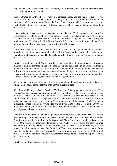England for seven years of excavations at Cadbury Hill in Somerset falsely claiming that Cadbury Hill was King Arthur's "Camelot".

This is strange as Arthur II is provably a Glamorgan King, and the main residence of the Glamorgan Kings was at Caer Melyn (Ca'Melot) also known as Cu-Bwrd – Kibbor to the Normans, and Cu means "mutually together" and Bwrdd means "table". A castle stood on this Castle Field certainly well into the 15th Century and a wedding is recorded as taking place there in AD 1454.

It is utterly ludicrous that an Englishman took the largest Welsh University of Cardiff in Glamorgan over into England for seven years in search of a Glamorgan King whose main residence was in the north perimeter of Cardiff, and whose massively recorded funeral took place in Glamorgan. The Castle Field in North East Cardiff is visible from the upper floors of the building housing the archaeology Department of Cardiff University.

It is hilarious that Leslie Alcock stated in his book "Arthur's Britain" (about which he knew next to nothing) that all the names around Cadbury Hill in Somerset that implied that Cadbury was Camelot were forged and invented by King Henry VIII's Itinerary, one John Leland of Somerset, in AD 1534.

Gareth Dowdell from South Wales, who left school aged 16 with no qualifications, presented himself at English Heritage in London. Not having any qualifications he awarded himself a bogus BA Honours Degree in Archaeology from Southampton University (who have no record of him), and he was sent to work in the West Country. In a period of high unemployment the government threw money at anyone who could provide some form of work and archaeology flourished as cash to pay diggers was available in large amounts.

When English Heritage sent someone to check the sites being funded and the numbers of diggers being paid he found that neither the sites nor the diggers existed.

Well English Heritage called in Scotland Yard and the Police prepared to investigate. Then English Heritage realized that they would get very bad publicity out of this mess, and they asked the Police to stop. This the Police could not do as a criminal offence had been reported. The solution was that English Heritage told a junior clerical worker to burn 1,200 files that were redundant and clogging up the system. This junior person duly burned 1,200 files but he mistakenly burned some of the wrong files, and so if you ask to see the Deeds of the 2000 years old Dover Castle, you will not get to see them (or a few other places as well). So there was no investigation and faces were saved.

This man with the phoney Honours degree then returned to Wales and announced that he had been working for English Heritage and he was immediately welcomed into the rackets in Wales. A typical organization would be an Archaeological "Trust", which is complete misuse of the word. One "Trust", the infamous Glamorgan-Gwent Archaeological "Trust" Company Limited was pulling in over £550,000 a year by 1985 and now in 2008 that would probably be worth around £4 million and there were four "trusts" in Wales. As it must have cost around £1,000 a week to run the dingy office on Swansea Docks, one wonders where the other £10,000 a week went. This "trust" had three university academics and three national museum employees on its board of directors.

Gareth Dowdell was Secretary of this "Trust".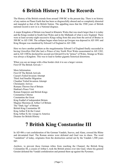# **6 British History In The Records**

The History of the British extends from around 1500 BC to the present day. There is no history of any nation on Planet Earth that has been so disgracefully abused and so completely distorted and mangled as that of the British Nation. The appalling mess that the 3500 years of British national record is now in is a National disgrace.

A major Kingdom of Britain was based in Khumric Wales that was much larger than it is today and the Kings resided in South East Wales and in the Midlands of what is now England. There were at least seventy-eight successive Kings ruling from this area from the arrival of Brutus in 500 BC to AD 1300. The collapse began when Iestyn ap Gwrgan was deposed in AD 1091 and King Morgan was murdered by Edward I of England in AD 1300.

Here we have another problem as the megalomaniac Edward I of England finally succeeded in having Llewellyn Olaf (the last) a Prince of tiny North West Wales assassinated in AD 1282, and in AD 1300 he declared his second son Edward II to be "prince" of Wales. Strange as Wales was always a Kingdom. This was to lead to further gigantic historical distortions.

When you see an image with a blue border click it to see a larger version. First Of The British Arrivals >

More Information First Of The British Arrivals Caesar's Failed Invasion Attempt Third And Smaller Migration Claudius' Failed Invastion Attempt Christianity Arrives Romans Thrown Out of Britain Hadrian's Peace Visit Roman Emperors and British Kings Constantius Chlorus Constantine the Great King Euddaf of independent Britain Magnus Maximus & Arthur I of Britain The "Dark Age" of Britain British King Constantine III King Arthur II & the Comet King Arthur II, his voyage to America Disaster for British History

# **7 British King Constantine III**

In AD 406 a vast confederation of the German Vandals, Sueves, and Alans, crossed the Rhine and devastated Gaul. The Roman armies were defeated and Gaul was in chaos. The word "vandalism" of today, originates from the destruction carried out by the Vandals 1,500 years ago.

Anyhow, to prevent these German tribes from reaching the Channel, the British King Constantine III, a cousin of Arthur I, took the British armies over into Gaul, where his general Geraint defeated the Vandal confederation and penned them up against the Pyrennes.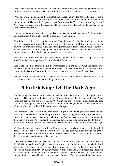King Constantine sat in Treves whilst his general Geraint fumed and strove to get him to attack Honorius of Rome. So the British were definitely not weak and helpless, but Rome was.

While this was going on Alaric the Goth took his chance and invaded Italy and he proceeded to sack Rome. The helpless Roman Emperor Honorius wrote a letter to the Italian citizens in the southern city of Rhegium in the province on Brittium on the Toe of Italy informing them of Alaric's approach and stating that he could not help them and they had to try to defend themselves. They were on their own.

In one of many outrageous historical frauds the English took this letter sent to Brittium in Italy, and transformed it into a letter sent to independent Great Britain.

All this is very well recorded by Zosimus and Olympiodorus. The English academics took this very clear record and turned the helpless citizens of Rhegium in Brittium in Italy, into the powerful British whose armies and King had conquered Gaul and saved the Empire. For centuries they have lied their heads off alleging that this letter from Honorius was sent to the weak helpless British who were allegedly dependant upon Roman protection.

This letter is a virtual article of faith in academia, and generations of British people have been misinformed of this alleged fact. The truth is VERY different.

This at the same time that the British had transported their armies into Gaul and defeated the Vandal Confederation that had mauled the Romans. This has to be one of the monster lies of History and it is one of many similar all designed to distort and destroy British History.

The powerful British were very well able to take care of themselves and the Romans had been kicked out of Britain several decades long before 411.

## **8 British Kings Of The Dark Ages**

The first thing that all British folk need to understand is that there were NO Dark Ages in ancient Britain. The major British Kings in their fortress Kingdom located in South East Wales continued from around 500 BC to AD 1300. Wales was and is a Kingdom and definitely not a ridiculous "principality" and the political and religious campaign directed at totally obliterating all traces of the ancient British Kings is a national disgrace.

The ancestors of the Mercian Vandals in central England, and the Angles of the north and east coasts, and the Saxons scattered along the South Coasts of England and inland to Middlesex, were not in Britain in any great numbers before circa 560, and as they were largely illiterate for them there were Dark Ages before their arrival and during the early centuries. The British over in the West of Britain were an advanced literate culture and for them there were no Dark Ages.

What academics in London, Oxford, and Cambridge, and elsewhere cannot get into their thick heads is the provable fact that the British line of Kings persisted right through the greatly exaggerated alleged 'Roman Period' and that there never was any Roman Britain of the order that they imagine, and imagine is the correct word.

It begins with the conflict between King Caradoc I, the son of Arch, and the Romans in the years AD 42 -51. A battle was fought between Romans and the British at a traceable site in South Wales, and both sides claimed a victory. If the Romans won how is it that they were unable to enter South Wales until AD 74? King Caradoc I went off north to Queen Aregwedd Ffoedawg -Cartismandua to foreigners- to try to get her to help him clear the Romans out of Britain, but she put him in chains and handed him over to the Romans. This embarrassed the Romans who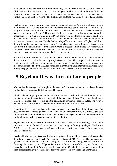took Caradoc I and his family to Rome where they were housed in the Palace of the British. Christianity arrived in Wales in AD 37 "the last year of Tiberius" and so the first Christians arrived in Rome. Caradoc's sister named Claudia married Agricola, and a daughter married Ruffus Pudens of Biblical record. The first Bishop of Rome was Linus a son of King Caradoc I.

Back in Britain Ceri Longsword the nephew of Caradoc I became King and continued fighting the Romans. In AD 74 the Romans won a victory and entered South East Wales, and in AD 80 King Baram ejected all the Romans from Britain. The Romans put it as - "Bonassus (Baram) usurped the empire in Britain." How a rightful King is a usurper in his own lands is hard to understand. From then onwards until AD 125 there were no Romans in Britain apart from possible traders, and it was not until Hadrian, who had no heirs, made his celebrated diplomatic visit that there was any contact. Hadrian built a string of forts across northern England and linked them with a ditch and palisade fence. Some 70 years later the Emperor Septimus Severus, who also lived in Britain and whose British son Caracalla succeeded him, linked these forts with a stone wall. Read the histories as it is Severus' Wall and not Hadrian's Wall, and if the academics cannot get even that correct then what else have they muddled.

From the time of Hadrian's visit to Britain the History of Britain is totally and completely different from the version invented by Anglo-Saxon writers. They forget that Brutus was the First Consul of the Roman Republic, and that the British Kings claimed a direct descent from that same Brutus. The British Kings continued in Britain without interruption all through the grossly exaggerated era of the alleged "Roman Britain". These are fully listed later.

#### **9 Brychan II was three different people**

Matters that the average reader might not be aware of also serve to mangle and distort the very well and clearly recorded British Ancient Histories.

Tired academic dogma propounds just one Brychan who is said to have had three wives, and twenty-four daughters and twelve sons, and all the marriages of these 36 sons and daughters to other noble persons are recorded, and the genealogies of their spouses are listed. The result is pandemonium in the order of the noble families and the cause is very clear.

In addition, the Lives of Saints allot Brychan a mistress and an additional illegitimate son. This does not explain the three graves of "Brychan", and one manuscript lists two of these graves in succession. The solution is simple, there were three Prince Brychans. This is so obvious as to be well nigh unbelievable it has not been pointed out before.

Brychan I of Brittany lived around AD 360 – 420, and was well recorded as doing so in Brittany. He was a brother of Conan Meriadauc who was made King of Brittany by Magnus Maximus in AD 383. His wife was the Visigoth (Spanish) Princess Poestri, and many of the 24 daughters and 12 sons are his.

Brychan II who married his cousin Eurbrawst - a sister of Arthur II - was very well recorded as the ruler of Brecon in South East Wales and he lived around AD 490 – 550. He was the son of Queen Marchell a daughter of King Tewdrig, and sister to King Meurig. She married Enllech Coronog (the crowned) son of Hydwn Dwn, son of Ceredic, son of Cuneda, and Ceredic had seized lands in Ireland. St Patrick is recorded as rebuking Ceredic for his harsh treatment of the Irish. Not surprisingly a "Roman" style fort was discovered a few years ago near Dublin.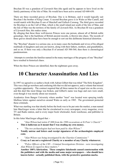Brychan III was a grandson of Llywarch Hen (the aged) and he appears to have lived on the family patrimony of the Isle of Man. He would have been active around AD 600-650.

There are three recorded graves of Brychan. One is in Brittany, and it would logically suit Brychan I the brother of King Conan. A second Brychan grave is in Wales at Mur Castell, and would match with Brychan II son of Marchell and Enllech Coronog. The third grave recorded for Brychan is on the Calf of Man, which is the small island just south of the Isle of Man, and the Isle of Man was the territory of the family of Llywarch Hen. As Brychan III was a grandson of Llywarch Hen, this makes sense.

By alleging that these three well-known Princes were one person, almost all of British noble genealogy, that is the backbone of British ancient records, is thrown into chaos. The records of three graves should alone have been be enough to sort out this deliberate historical distortion.

The "Brychan" disaster is a serious one, as in many cases the husbands and wives of his alleged multitude of daughters and sons are known, along with their fathers, mothers, and grandfathers, and so on. If there was only a Brychan II of around AD 500-560, then there is chronological pandemonium.

 Attempts to correlate the families named in the many marriages of the progeny of one "Brychan" have resulted in historical chaos.

When the three Princes are identified, then the nightmare goes away.

## **10 Character Assassination And Lies**

In 1997 we agreed to co-author a book with Adrian Gilbert that was titled "The Holy Kingdom". This was a bad go-nowhere and confusing title that we did not approve, and a volume that missed a golden opportunity. The contract required that all three names be of equal size on the covers, and this deal like most things was broken, and Gilbert's name was huge and ours were small, even though it was mostly about our research.

Academics from Bangor University where another "trust" was located were spraying totally libellous letters against ourselves around Wales as early as 1985. The government protected these criminals.

What was startling was that shortly before the book was to be put onto the market, a man named Iain MacGregor wrote a letter that he circularised to every newspaper, every magazine, every TV and Radio station, and to every major book wholesaler, book warehouse, and publisher in Britain.

In this letter MacGregor alleged that :-

- *"Alan Wilson had stolen £7,000 from the 1990 excavations at St Peter's Church."* **This is ludicrous as it meant that I was stealing my own money.**
- *"The two archaeologists had not been paid by Alan Wilson."*  $\bullet$ **Totally untrue and letters and receipt signatures of the archaeologists employed exist.**
- *"Alan Wilson was being investigated by the Charities Commission."*  $\bullet$ **Crazy as I am not a registered Charity or a member of any Charity whatsoever.**
- *"Police Officers of the CID Criminal Investigations Division were investigating*  $\bullet$ *Alan Wilson in regard to these matters."*

**Another 100% fabrication. These complete falsehoods caused consternation with the publishers and with the media and some major newspapers – who should have known better - actually published them, with the protective quotation marks.**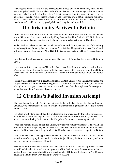MacGregor's claim to have met the archaeologists turned out to be completely false, as was everything else he said. He turned out to be a "man of straw" who was being used as a front man by others. MacGregor lived in his sister's flat that she rented from the local authority. He had no regular job and no visible means of support and so it was a waste of time pursuing him in the courts. His connection were traced back into South Wales and he was clearly a hired "hatchet-man", and he did a very good job in panicking the book's publishers.

## **11 Christianity Arrives In Britain**

Christianity was brought into Britain and specifically into South East Wales in AD 37 "the last year of Tiberius". It was taken to Rome by King Caradoc I and his family in AD 51, in the time of the Emperor Claudius, and the first Bishop of Rome was Linus the son of Caradoc I.

Saul or Paul wrote how he intended to visit these Christians in Rome, and the idea of Christianity being brought into Rome by Paul and later by Peter is false. The great historians of the Church of Rome, Cardinals Baronius and Alford (Griffiths) researched and proved this. It is an undeniable fact.

Liwell stone from breconshire, showing possibly Joseph of Arimathea travelling to Britain via Egypt.

It was not until the later reign of Nero that Peter - and later Paul - actually arrived in Rome. Western Apostolic Christianity began in Britain and spread out to Gaul and Rome from Britain. These facts are admitted by the quite different Church of Rome, but not too loudly and not too often.

Roman Catholicism arrived in coastal districts in Eastern Britain to the immigrant Saxons and Angles 560 years later when Austin-Augustine was sent to them. Soon after this, the centuries of religious wars began between the immigrant now Roman Catholic Angles and Saxons spurred on by Rome, and the Apostolic Christian British.

## **12 Claudius's Failed Invasion Attempt**

The next Roman to invade Britain was not a fighter but a thinker. He was the Roman Emperor Claudius, who spent most of his life studying books rather than fighting in battles, due to having cerebral palsy.

His attack was better planned than his predecessors, and was aided by the initial reluctance of the Legions to board the ships in Gaul. The British eventually tired of waiting, and went back to their homes, thinking the Romans - like Caligula before - were not coming after all.

When the Romans finally set sail for Britain, they arrived virtually unopposed. They had also brought with them Elephants, which because of the noise and their unfamiliar smell, rendered useless the British cavalry pulling the chariots. Thus began the piecemeal occupation of Britain.

King Caradoc I son of Arch opposed the Roman invasion for nine years from AD 42-51. Tacitus records that of the eighty battles with Caradoc's Trojan Silures, the British won sixty of them, and two Legions were entirely obliterated.

Eventually the Romans met the British in their biggest battle, and here lies a problem because both sides claimed victory! All evidence points to a British victory or at the very least a stalemate, but the Romans having celebrated the previous triumphs of Britain with Claudius in AD 43 would never have admitted they were losing the war now in AD 51.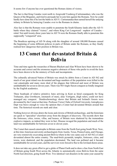It seems few if anyone has ever questioned the Roman claims of victory.

The fact is that King Caradoc went north to Aregwedd Voedawg (Cartismandua), who was the Queen of the Brigantes, and tried to persuade her to join him against the Romans. Now he could hardly have done this if he lost the battle in AD 51. Cartismandua then earned herself the undying infamy in Britain by betraying Caradoc over to the Romans in chains.

Also fact is that the Romans were unable to penetrate the South Khumry lands after the AD 51 battle where they claimed "victory", and where King Ceri Longsword - nephew of Caradoc ruled. Not until twenty-three years later in AD 74 were the Romans finally able to penetrate this supposedly "conquered" area.

The Boudicea uprising of AD 56 along with the slaughter of around 100,000 Romans caused the beginning of some different policies in parts of Britain under the Romans, as they finally realised how dangerous their position in Britain was.

#### **13 Comet that devastated Britain & Bolivia**

Time and time again the researches of Baram Blackett and Alan Wilson have been shown to be accurate and correct and the erroneous negative abstracts of those who prefer to avoid the facts have been shown to be the mimicry of fools and incompetents.

The culturally advanced Nation of Britain was struck by debris from a Comet in AD 562 and much of our great island was devastated and huge numbers of the population were killed in the vast catastrophe and many more died of the plagues that followed and most of Britain was uninhabitable for seven to eleven years. There was NO Anglo-Saxon conquest as fondly imagined by the English academics.

Three boatloads of relative primitive Jutes arriving in Kent as hired coastguards for King Trehaearn, alias Gwrtheyrn, (monarch of men), alias Vortigern, (high ruler), could not have managed any conquest. Dendrochronology shows that Britain and Ireland's forests were devastated by the Comet at that time. Professor Victor Clube of Oxford University Astrophysics Dept was brave enough to voice the opinion that a Comet had devastated Britain around that time. The historical records are stark and clear.

Nothing however obvious deters the loons and clowns of British archaeology, and the historians are quick to "specialise" elsewhere away from the dangers of discovery. The records show that the fortresses, cities, towns, villas, and houses, of Britain were shattered by the tremendous explosive impacts, as indeed they were in fact. Disease ravaged the population and much of the land was uninhabitable for between seven to eleven years.

The Comet that caused catastrophe in Britain came from the North East going South West. Now, at this time American university archaeologists from Austin, Texas, Pennsylvania, and Chicago, are very extensively excavating ancient Bolivia where in the very same year of AD 562 a Comet devastated almost the entire country. The mud-brick pyramids, temples, fortresses, cities, and towns, were shattered, and the population decimated. The land was polluted and it became uninhabitable for several years, and the survivors were forced to flee to the lowland shores areas.

It does not take any great effort to get a globe of Planet Earth and to draw a line from North East of Britain going South West across the Atlantic to automatically cross Bolivia from the same North East direction, going South West. Two identical vast disasters in the same year caused by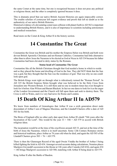the same Comet at the same time, but one is recognized because it does not pose any political or religious threat, and the other is completely ignored because it does.

This is dramatic proof that our native British Ancient Histories are again impeccably correct. The erudite scholars of yesteryear left cogent evidence and proofs that left no doubt as to the authenticity of our native British Histories.

Historical evidence of a devastating comet near collision with planet Earth in AD 562 is important to understanding British History, and it is also of importance to scientists including astronomers and medical researchers.

Read more on the Comet & King Arthur II in the history section.

## **14 Constantine The Great**

Constantine the Great was British and his mother the Empress Helen was British and both were devout British Apostolic Christians and not Roman Catholics. Constantine had little alternative other than to allow Jesus the Nazarene to be elected as God at Nicea in AD 334 because his father Constantius had been elevated to deity status by the Romans.

#### **Statue head of Constantine The Great**

Constantine like all the British Christians thought that God needed a home in which to reside and so they placed the home and dwelling of God in the Sun. They did NOT think that the Sun was a god, but they thought that the Sun was the residence of god. That was why no one could look upon god.

The British Kings went right on through what is ridiculously termed the "Roman Period". In AD 325 the British Empress Helen brought what was believed to be the Holy Cross from Jerusalem into Western Britain. It is still there and no one in modern times has even thought to look for it before Alan Wilson and Baram Blackett. In fact no one dares to look for it as the anger of the London Government and the Church will fall upon them and seek to destroy them. The Cross is still in Wales, and it is very bad news for Rome and London.

## **15 Death Of King Arthur II In AD579**

We know from numbers of Genealogies that Arthur II was a sixth generation direct male descendant of Arthur I son of Magnus Maximus, and the Llandaff Charters offer a date of AD 503 for his birth.

The Bruts of England offer no other early date apart from Arthur II's death "546 years after the Incarnation of the Lord". This would be the year  $33 + 546 = AD 579$  in accord with British religious ideas.

The incarnation would be at the time of the crucifixion around AD 33, and not at the time of the birth of Jesus the Nazarene, which is in itself uncertain. Some 12th Century Romance stories and historical traditions, place Arthur as 76 years old when he died, and again the AD 503 of the Llandaff Charters gives  $503 + 76 = AD$  579.

There is then the Glamorgan Record of the aged Owain Vinddu the brother of Arthur I being killed fighting the Irish in AD 434. Amongst several accurate dating calculations, Nennius places Maelgwn Gwynedd's accession to the throne at 146 years after Cuneda (AD 434), and again 434 + 146 brings Maelgwn's accession to AD 580, matching with Arthur II being dead in AD 579.

King Arthur II after the Battle of Baedon.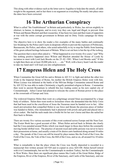This along with other evidence such as the letter sent to Aegidius to help date the annals, all adds weight to the argument, and in fact there is no argument as everything fits neatly into place once the dates have been corrected.

#### **16 The Arthurian Conspiracy**

What is called "the Establishment" in Britain and particularly in Wales, has striven mightily to obstruct, to harass, to denigrate, and in every way they can, legal and illegal, to prevent Alan Wilson and Baram Blackett and their researches. It has been two men and their team of supporters at war with the entire corrupt government in Britain and its Dirty Tricks campaign for thirty years.

The objective here is to show the reader a few examples of the many battles and continually law-breaking by the Police and Courts in desperate efforts to prevent the exposure of Politicians, Bureaucrats, the Police, and others, who acted unlawfully to try to stop the Public from learning of the great cultural heritage holocaust of Britain. What is set out here is but the tip of the iceberg.

The question that is most often asked is – "What happened in over twenty-five years," and "Why has nothing positive happened since Wilson and Blackett attended the House of Lords by invtation to meet with Lord Jack Brooks on the 25–02–1981. When Lord Brooks said," If this is right then there are at least 20,000 jobs in it……etc." Well, with a heavy heart I ask the reader to take my hand and I will lead you into enlightenment.

## **17 Empress Helen and The Holy Cross**

When Constantine the Great left his native Britain in AD 311 to fight and defeat the other two rivals to the Imperial throne of Rome, his mother the British Empress Helen went with him. When Licinus was defeated at the battle of the Milvian Bridge Constantine entered Rome and by AD 322 he was able to make Christianity a legally permitted religion in Rome. Constantine then went to ancient Byzantium to rebuild this key trading centre as his new capital city of Constantinople. Julius Caesar had planned to relocate the centre of Roman power to this place at the crossroads of Europe and Asia.

The widowed Empress Helen then went on a pilgrimage around Sinai accompanied by a large body of soldiers. Helen then went north to Jerusalem where she demanded that the Holy Cross that had been used in the crucifixion of Jesus the Nazarene must be handed over to her. After much prevarication that compelled Helen to use force and threats the precious piece of timber was handed to Helen, who immediately had it plastered with jewels and gold and placed into a silver casket. She had the nails made into a bridle bit for her son's horse and then she sailed her fleet back to Britain.

There are twenty five various accounts of this event scattered across Europe and the Near East. The Exeter Book has a good account of this. When Helen arrived back in Britain she clearly had the Cross paraded around Wales which was much larger in those days before the constantly moving border drifted west. The practice of ancient royal and noble persons was never to leave their possessions at home, and usually a train of Ox drawn carts lumbered along around 10 miles a day. The parade of the Cross can still be traced by place names like the Ford of the Cross, the Field of the Cross, the Vale of the Cross, the Hill of the Cross, and so on, all around 8 to 10 miles apart.

What is remarkable is that the place where the Cross was finally deposited is recorded in a manuscript first written around AD 920 and re-copied in circa AD1100. Helen herself retired with it to Constantinople, but not the Constantinople in modern Turkey, but the Constantinople in West Wales. Here there are significant place names like Castle of the Great Helen, Ridge of the Empress, River of the Empress, River of the Sanctuary, and Castle of the Sanctuary, and one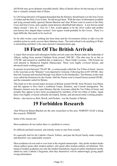old Welsh story gives dramatic traceable details. Mass of details allows for the tracing of a tomb that is virtually certainly that of Helen.

In 1282 King Edward I of England demanded that the Khumry should hand over the Iron Crown of Arthur and the Holy Cross to him. He did not get them. With the mass of information available and lying around totally ignored, Baram Blackett and Alan Wilson went in search of the Holy Cross and Iron Crown, and a quality metal detector identified both objects. A non ferrous metal object around 1 foot, by 1 foot, by 5 feet, would appear to be the silver casket and another non-ferrous box shaped object around 1 foot square would probably be the Crown. There is a legal difficulty that needs to be resolved.

So far after twenty years nothing has been done and the Government refuses to take even the smallest action to easily recover these fabulous items. The total refusal to do anything in Wales is astonishing and there is the same ancient Communications gap.

#### **18 First Of The British Arrivals**

A major fleet invasion and subsequent further arrivals came into Britain under the leadership of Albyne, sailing from ancient Chaldean Syria around 1500 BC. (The date may be as late as 1350 BC and research to establish this is underway.). These Ealde Cyrcenas - Old Syrians are well attested in Mediaeval English Manuscripts. These were highly civilized literate, and advanced metal working people.

In ancient Assyria between 720-687 BC, a certain people called the Ten Tribes of Israel - known to the Assyrians as the "Khumry" were deported to Armenia. Following this in 687-650 BC, they then left Armenia and marched through Asia Minor to the Dardanelles. The Khumry at this time were called the Kimmeroi by the Greeks. Half the Nation went to found Etruria around 650 BC, and the remainder sailed for Britain.

This leads us to the second major invasion of Britain around 504 BC from Western Asia Minor and this appears to have been a combined Trojan, Khumric, and Cornish immigration. The Khumric element were the same Khumry that the Assyrians called the Ten Tribes of Israel, and actually they appear to have been accompanied by members of the two tribes of Judea. Again these were highly civilized culturally developed, literate, and advanced metal working peoples.

Brutus - also known as Britt, Brwth, and Prydain - was the founder of Britain.

## **19 Forbidden Research**

Alan Wilson & Baram Blackett are the only researchers in this area. NOBODY ELSE is doing this research. PERIOD!

Some of the reasons are:

Most academics do not realize there is a problem to correct.

It's difficult and hard research, and nobody wants to start from scratch.

It's especially bad for the Catholic Church, Politics, and puts the Royal Family under scrutiny, and therefore very undesirable research.

Most academics do not read or even look at the original manuscripts - they prefer modern books whose authors quote other modern authors, who quote other modern authors, ad infinitum. This means if modern academics use only the modern translations, based on earlier translations mostly edited by early Catholic Clergymen, then they themselves will be unknowingly giving pupils wrong information.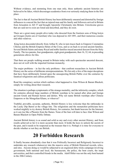Without evidence, and stemming from one man only, these authentic ancient histories are believed to be fakes, which discourages academics from ever seriously studying them in the first place.

The fact is that all Ancient British History has been deliberately smeared and distorted by foreign influences to conceal the fact that an injured man and his family and followers arrived in Britain from Jerusalem in AD 37 and brought Apostolic Christianity into Britain. Unwelcome graves that are said not to exist are listed and described, and they do exist.

There are a great many people alive today who descend from the fourteen sons of King Iestyn ap Gwrgan (Justin son of Aurelian) who was deposed in AD 1091, and their numerous cousins and other relatives.

King Iestyn descended directly from Arthur II, who in turn traces back to Emperor Constantius Chlorus and the British Empress Helen of the Cross, and so on back to several ancient families. Several British Saints and many Royal and noble families traced ancestral descent from the Holy Family. The two parents, four grandparents, eight great grandparents, then 16, 32, 64, in preceding generations allows for this.

That there are people walking around in Britain today with such spectacular ancestral descent, does not sit well with the imported German monarchy.

The major problems – in fact the only problems - that confront researchers in Ancient British History are the series of deliberate misrepresentations. We list only a few of the major deceptions that have been deliberately foisted upon the unsuspecting British Public over the centuries by fanatical religionists and callous politicians.

Read the conspiracy section which outlines what happened to Alan Wilson & Baram Blackett, simply for writing about their research.

The situation is perhaps symptomatic of the strange mentality, and the inferiority complex, which for centuries allowed large numbers of British warships to be named after alien and foreign ancient Greek and Roman heroes and deities. Why not name British warships after Chinese Emperors or the Mongolian Khans, or whoever?

Truthful, provable, accurate, authentic, British History is less welcome than the rattlesnake in the Lucky Dip Barrel at the village fete. The religionists and the monarchist politicians have worked mightily to try destroy British History, for centuries, but thank heavens for the Internet, as it can rise like a Phoenix from the flames. None of the liars will dare to face Alan Wilson and Baram Blackett in Open Public Debate.

Ancient British history is as sound and solid as any and every other ancient History, and from results achieved so far it is more accurate than most. It holds the keys to unlock the secrets of the past, and it needs to be respected as the treasure that it is. Perhaps it is time for everyone to decide whether or not they are British.

#### **20 Forbidden Research**

It finally became abundantly clear that it was Politically Incorrect and Religiously Incorrect to undertake any research whatsoever into the massive array of British Historical records, relics, and sites. Anyone doing so would be subjected to an organized dirty tricks campaign involving government, both national and local, the bureaucrats, the police, the bent courts, the inept universities, and their controlled friends in the media. Adolf Hitler was not the only bent bastard in the 20th Century.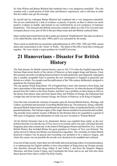So Alan Wilson and Baram Blackett had wandered into a very dangerous minefield. This site contains only a small portion of both Alan and Baram's experiences, and is told here in order that the readers may get the message.

So myself and my colleague Baram Blackett had wandered into a very dangerous minefield. We are not confronted by a lack of evidence or paucity of proofs, as there is almost too much positive evidence to handle, and instead we are confronted by an evil conspiracy of immense proportions. This diseased anti-British caucus has somehow taken on a life of its own and it has corrupted almost every part of life in this pro-Hanoverian and anti-British confused State.

Open warfare had existed between the London government "Establishment" that does not deserve to be called British, since the early 1980's and it was concealed by the media.

There can be no doubt that our researches and publications in 1981,1982, 1983 and 1986, caused alarm and consternation in the "trusts" in Wales. The detail of this fills a book that is being put together. We were clearly a major problem for Cardiff University.

#### **21 Hanoverians - Disaster For British History**

The final disaster for British Ancient history came in AD 1714 when the English imported the German Hanoverian family of the elector of Hanover as their puppet kings and Queens. From this moment onwards everything historical had to be both politically and religiously redesigned into a suitably acceptable form to promote the new Germanism in England in particular and Britain as a whole. Few people read the publication of the 19th century deliberately designed to popularise the German ideals.

The one-quarter Welsh King Henry VII of England had a sister who married a Scots King, and later a descendant of this marriage married an Elector of Hanover. So when the throne of England passed from the Tudors to the Scots Stuarts, and there was a problem on there being no heirs to the throne from Queen Anne and from Queen Mary and William of Orange, the Parliament had a bright idea and invited the German George, the Elector of Hanover, to be King of England.

From this time onwards the centuries of assaults upon all Ancient British History, Heritage, and Culture, accelerated and increased. Everything British had to go. The numerous, strong, culturally advanced British Nation had to be transformed into primitive tribes of uneducated barely civilized peasant barbarians. The German origins of the Anglo-Saxons needed to be promoted and extolled. The periodic local controls of parts of Britain by the Romans had to be expanded to a period of 400 years of imaginary total domination of what was now invented as "Roman Britain"

All the British Dynasties had to be eliminated. Brutus was expelled from reality as the new political doctrine was that the city of Troy never ever existed, and it was only a fictional fairytale imaginary place that existed only in the mind of Melisigenes-Homer and therefore ALL Ancient British History that included Brutus the great grandson of Aeneas of Troy was fictional. The earlier arrival of Albyne into Britain was dismissed as legendary. The vast body of written British historical evidence was by-passed and everything was declared to be a massive forgery, and where this smear was not possible the records were declared to be muddled and confused.

In an out-of-date society where there are still noble and royal pecking orders of social precedence, it is embarrassing for English nobility to have descendants of King Iestyn ap Gwrgan around, who therefore descend from King Arthur II and Arthur I, and from the Emperor Magnus Maximus, and from Caesar Crispus, and Constantine the Great, and so on, and who also claim direct descent from what is called The Holy Family.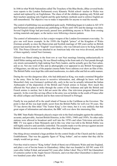In 1846 in what Welsh Nationalists called The Treachery of the Blue Books, (Blue covered books were reports to the London Parliament) every Khumric Welsh school- teacher in Wales was sacked and replaced by an Englishman. The chaos of all the children speaking only Welsh and their teachers speaking only English and the quite barbaric methods used to enforce English are still remembered. The objective was to make it impossible for anyone to read the records.

The control of publishing was accomplished quite easily. Publishing began in London in AD 1474 and Parliament simply prohibited any publishing in Wales until 1692 and the damage was done. Several English Kings had previously passed laws prohibiting anyone in Wales from owning writing materials and paper, so the tactics were following a known pattern.

The control of information is in fact a major weapon of the London Government even today. To give one well know example. In the 1930's the English "prince" of the Kingdom of Wales (German actually as since the Hanoverian and Scottish marriage of 300 years earlier no British person had married into the "English" royal family), who was Edward soon to be King Edward VIII. This Prince Edward was attached to an American lady who was twice divorced, and both of them regularly visited Nazi Germany.

Edward was filmed sitting in the front row at vast Nazi meetings listening enthusiastically to Adolf Hitler ranting and raving. He was filmed walking in the front rank of a Nazi parade through city streets surrounded by high ranking Nazi Party leaders, and he actually gave the Nazi salute, and so on. Not one word of this and no photographs ever appeared in any British Newspapers of Magazines, nor did any of the popular cinema Pathe News editions ever show an film of this. The British Public were kept like cultivated mushrooms, in a dark cellar and fed on cattle manure.

During the war this dangerous idiot, who had abdicated as King, was made a nominal Brigadier in the army. Here he had access to secretive information, and, although he knew well that Mussolini's Italy was Germany's political ally, early in the war he actually informed the Italian Ambassador of the disposition of the British and French armies in Europe. How much this affected the Nazi plans to strike through the centre of the Ardennes and split the British and French armies is unclear, but it did not assist the allies. One television program blamed him squarely. In the event this serving officer in the army was on holiday in the south of France after the allied collapse and Dunkirk and he then removed himself to Portugal.

Finally he was packed off to the small island of Nassau in the Caribbean as the Governor. The point is that all this was kept totally secret from the British Public for well over 50 years. Sky TV has shown the film titled "The Traitor King" a few times, but it is very unlikely that that great organ of information and education, the BBC will ever show this interesting film.

The BBC State Radio Monopoly played a major role in the final onslaughts against the authentic, accurate, and provable, Ancient British Histories, in the 1930's, 1940's and 1950's. No other radio stations were allowed to broadcast until well into the 1970's and when Television arrived the BBC TV was again a State Monopoly and in this way what was told to the British Public was still highly selective and carefully controlled. The assaults made over the airways against ancient British Historical records were nothing other than a National disgrace.

One thing always remained a huge problem for the control freaks of the Church and the London Establishment. That was the gigantic figure of "King Arthur", and no matter that they did he simply would not go away.

First they tried to remove "King Arthur" (both of them) out of Khumric Wales and into England, and place a set of bovine bones in Glastonbury Abbey that was founded in AD 941 some 418 years after Arthur II died, and around 541 years after Arthur I died. This is NOT the Glastenburi of centuries earlier in the Anglo-Saxon Chronicle, and even that other Glastonburi is dated over two hundred years after Arthur II.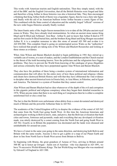This works with American tourists and English nationalists. Then they simply stated, with the aid of the BBC and the English Universities, that all the British Histories were forged and false and therefore a King Arthur in those histories was also a historical fake. They then encouraged a thinking that King Arthur (both of them) was a legendary figure, then he was a fairy tale figure and finally with the aid of an American buffoon writer Arthur became a comic figure of fun. This combined with the State control of education and the suitably forged "official" versions of the new order bogus Histories actually finally worked.

The latest frantic antic of the Anglo-Saxon monarchists is to re-date all the 200 plus ancient royal stones in Wales. They have already tried mistranslation. So when an ancient stone names King Ithael and St Illtyd and Arthmael –Iron Bear –Arthur II, and we know that Arthur II died in 579 and his first cousin St Illtyd buried him, and the brothers King Ithael and King Morgan succeeded Arthur II, it is a complete nonsense to take this stone of around AD 580 and re-date it to AD 850-900. This complete fraud is going on uninterrupted across Wales as the "authorities" have realized that people are taking note of the Wilson and Blackett Researches and looking at these stones as evidence.

When Alan Wilson and Baram Blackett decided to begin publishing in 1981 they stirred up a veritable can of worms, or a nest of snakes, and the London Establishment and the Church reacted to the threat of the truth becoming known. Now the politicians and the religionists have bigger problems. They have to prevent the World from knowing of the catalogue of gross illegalities and serious criminality that they have perpetrated against Alan Wilson and Baram Blackett.

They also have the problem of there being a modern system of international information and communication that will allow for the entire story of how these political and religious villains and cheats have destroyed British History and with that they have obliterated the vital evidence to decipher other ancient historical texts in Etruria Italy, in Asia Minor, in Palestine, and in Egypt and America. The Internet is a system of freedom that they cannot control.

Alan Wilson and Baram Blackett had no idea whatsoever of the depth of the evil and corruption in this gigantic political and religious conspiracy when they began their detailed researches in 1976. When anyone states that there is no such thing as Conspiracies then he is either a complete uninformed fool or else a total liar.

The fact is that the British were unfortunate when debris from a comet devastated and destroyed much of Britain and the powerful Arthurian State in AD 562.

The academics of the United Kingdom will try to despise the evidence of the comet of AD 562 that came from the North East going South West. At this time the American historians and archaeologists working in Bolivia know, state, and prove, that the Bolivian civilization that built cities and towns, fortresses and pyramids, roads and everything that any developed civilization made, was utterly destroyed by a comet coming from the North East and going South West in AD 562. Exactly as in Britain the population was decimated and the lands were diseased and uninhabitable for around ten years.

We have a Comet in the same year going in the same direction, and destroying both Bolivia and Britain with the same results. Anyone is free to get a globe or a map of our Planet Earth and draw in line from North East to South West across from Britain to Bolivia.

So beginning with Brutus, the great grandson of Aeneas of Troy, arriving in Britain around 500 BC up to Iestyn ap Gwrgan - Justin son of Aurelian - who was deposed in AD 1091, we have 76 successive Welsh-Khumry Kings. The last Welsh King was Morgan who was murdered by Edward I of England in AD 1300.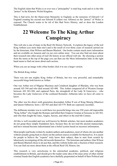The English claim that Wales is or ever was a "principality" is total hog wash and so is the title "prince" in the Khumric Welsh Kingdom.

This is bad news for the Hanoverian Monarchy in England, as the nonsense of Edward I of England creating his second son Edward II (eldest was Alfonso) as the "prince" of Wales is exposed. The Church wants to be rid of this Bad News History, and so does the London Establishment.

#### **22 Welcome To The King Arthur Conspiracy**

This web site is one of many in the Real UK History Network. It explores the legacy of the real King Arthurs (yes more than one!) and is the result of over thirty years of research carried out by the historians Alan Wilson and Baram Blackett. Our books contain much more information and are available on Amazon and via our own online store. You can also find out more about their research into other areas of real UK history at our official web site. By choosing a section from the menu at the top of the page you can then use the More Information links in the right hand menu to find out more about each section.

When you see an image with a blue border click it to see a larger version.

The British King Arthur

There was not one mighty King Arthur of Britain, but two very powerful, and remarkably successful kings both known as Arthur.

One was Arthur son of Magnus Maximus and Ceindrech daughter of Rheiden, who was born around AD 344 and who died around AD 400. This Arthur conquered all of Western Europe between AD 383-388, and captured Paris, the stronghold of the Lady St Genevieve - who becomes the Lady Guinevere of the confused Romantic Arthurian tales we have all come to know.

The other was his direct sixth generation descendant Arthur II son of King Meurig (Maurice) and Queen Onbrawst, born c AD 503 and died AD 579. Both are copiously recorded..

The deliberate mistake was to weld these two powerful kings into one 250 years old impossible "King Arthur" who fought the Romans and killed their Emperor Gratian at Soissons in AD 383, and who then fought the Jutes, Angles, Saxons, and others in the mid 6th Century.

All this is well recorded and was well known by British scholars, but most modern academics do not grasp these simple foundation facts, because they do not read the ancient manuscripts, and have instead become indoctrinated into a belief system based on incorrect information.

Most people read books written by modern authors and academics, most of whom cite one another without actually going back to check out the earliest sources available for themselves. It is easier for people to believe the "experts" truly know their subject, than to start from scratch by laboriously investigating all the old records themselves. The historians and authors Alan Wilson and Baram Blackett chose to do just that, and this website holds only a fraction of their research. You can find out more about them at the official Real UK History site.

This research is very unwelcome to the entrenched academic, political, and religious establishment in Britain, and should give the reader some idea of the mass array of other similar criminal frauds that English academics have dutifully perpetrated on behalf of their Political and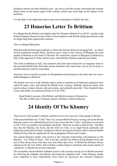Religious masters for three hundred years. Be sure to read the section concerning the German Hanoverians on the history page of this website, which casts more light on the origins of the problems.

Use the links in the right hand menu to get more information or follow the trail:

#### **23 Honorius Letter To Brittium**

It is alleged that the British were helpless after the "Roman withdrawal" in AD 411, and the weak Roman Emperor Honorius wrote a letter to these helpless weak British telling them that he could no longer help them against their enemies.

This is a blatant fabrication.

Honorius in Rome had major problems as Alaric the German King was ravaging Italy. As Alaric moved southward towards Sicily, Honorius sent a letter to the citizens of Rhegium the local capital of Brittium on the Strait of Messina. He warned the citizens of Rhegium in Brittium in Italy of the approach of Alaric and his army, and told them that he could not assist them.

This letter to Brittium in Italy, has somehow been bent and twisted into an imaginary letter to the powerful British State from their enemy Honorius with whom they were at war in Gaul, to tell them that he could not assist them.

Anyone is free to read the accounts in Olympiodorus and Zosimus of the letter that was sent to Italian Rhegium in Brittium.

The British were not a weak illiterate nation, small in numbers as ill-informed academics have stated for many years, and instead the British were a strong, culturally advanced nation with metal-workers, miners, literate with universities, and militarily powerful. They thrashed Julies Caesar and totally out-manouvered him in 55 & 54 BC.

Read Strabo's account of the British, and British accounts of themselves. The idea of 400 years of Roman control of Britain is utterly ludicrous.

#### **24 Identity Of The Khumry**

There are no Celtic people in Britain, and there never ever were any Celtic people in Britain.

If the ancient British were "Celtic" then ALL ancient British History is wrong, and as the British Histories can be very substantially proven to be correct then the "Celtic" myth that was invented in AD 1714 is yet another vast deception and fraud. There are no other words for this. The false idea that the Khumry, the Scots, and the Irish are Celts, is an Anglo-Saxon politically and religiously motivated invention, designed to destroy the ancient Histories and to conceal truthful Historical Facts that are unpleasant for the propaganda of Rome and London.

The ancient Khumry people were known to the Assyrian Great Kings and Emperors as the Khumry – Ten Tribes of Israel. This is the fact, and the one million strong Khumry never got lost as they always knew who they were and where they were. In Britain the Khumry always claimed to be the Ten Tribes, that is before London began to dominate and seized control of 'education' or should one say mis-education.

The invaluable Ancient British Alphabet assists in the accurate tracing of our British ancestors by following the Alphabet inscriptions trail along the migration trail. These Khumry people were subjected to mass deportations from Israel by successive the Assyrian Emperors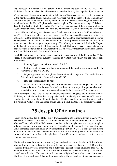Tiglathpileser III, Shalmaneser IV, Sargon II, and Sennacherib between 740 -702 BC. Their Alphabet is found on baked clay tablet texts excavated at the Assyrian imperial city of Nineveh.

When Sennacherib was murdered in a temple by two of his sons a civil war erupted in Assyria as the heir Esarhaddon fought the murderers who were two of his half brothers. The Khumry Ten Tribe people seized the opportunity and took off from western Armenia going west across both branches of the Upper Euphrates river and through the Taurus mountain range. This is well described in Esdras Book II, Chapter 14. The Assyrians persuaded their northern allies the Scythians to pursue the Khumric Ten Tribes and battles ensued as the Khumry moved westwards.

In Asia Minor the Khumry were known to the Greeks as the Kimmeroi and the Kimmerians, and by 650 BC their unstoppable hordes had reached the Dardanelles and besieged the capital city of Sardis. Half the people then migrated to Etruria – Italy, and the other half remained in known named places until in c504 BC when after continuous Greek pressure they allied with the Trojan remnants under Brutus to gain an opportunity. The Khumry then assembled with the Trojans on the Isle of Lemnos to sail for Britain, and this British History is proved by the existence of a large inscribed stone written in the Ancient British Coelbren Alphabet that was found in Lemnos in AD 1876 that is now in the Athens Museum.

Greek Histories match the British history and so the long journey of the Khumry-Ten Tribes ended. Some remnants of the Khumry remained in western Asia Minor, and the sum of their migrations is :-

- 1. Leaving Egypt under Moses around 1360 BC
- 2. Settling in old Canaan and being uprooted and deported north to Armenia by the Assyrians around 740-702 BC
- 3. Migrating westwards through the Taurus Mountain range in 687 BC and all across Asia Minor to reach the Dardanelles by 650 BC
- 4. Half the people migrate to Italy
- 5. In 504 BC the remainder gather on Lemnos Island with the Trojans and sail their fleets to Britain. On the way they pick up three other groups of migrants who would include the Cornish under Corineus, and probably the Hwiccae of Worcestershire

The Khumry (miscalled "Welsh") retained their same ancient Language and their same Ancient Alphabet, and all the anti-British propaganda that has endlessly streamed out of Rome and London for centuries will not obliterate that fact. The huge scatter of ancient texts inscribed in this Khumric Alphabet and Language proves ancient British History to be absolutely correct.

## **25 Joseph Of Arimathea**

Joseph of Arimathea led the Holy Family from Jerusalem into Western Britain in AD 37 "the last year of Tiberius". In Wales he was known as St Ilid. He had a principal site at Trefran – Manor of Bran, and traditionally he was the chaplain of the young Bran who was a great-nephew of King Caradoc I who was in Rome from AD 51, and a son of Caradoc II. This is a Church of St Ilid alongside Trefran and also a very ancient religious Cor. A Cor is a large circular mound with a hollow centre where the congregation sat around the sloping inside in a circle and the speaker addressed them from a flat platform. These Cors appear to have been the original religious meeting places.

The British owned Brittany and Amorica (Normandy) since before the time of Julius Caesar. Magnus Maximus gave these territories to Conan Meriadauc as King in AD 383 and they remained British overseas territories and a buffer state against foreign invasions until AD 952 when the French King allied with the Northmen to seize and create Normandy. The tomb of king Conan still exists. There were therefore ancient religious Cors in what became Normandy. The English archaeologists (playing their usual role of the circus clowns) now see the ancient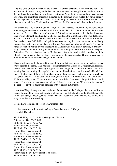religious Cors of both Normandy and Wales as Norman creations, which they are not. This means that all ancient pottery and other remains are classed as being Norman, and the result is that Wales and the Welsh are now the only nation on Planet Earth who could not make a piece of pottery and everything ancient is misdated to the Norman era in Wales that never actually existed beyond an 8 to 10 mile coastal strip in Glamorgan. Insanity is the order of the day. The Irish must cherish their 70 mile wide moat. William the Conqueror had a Breton/British mother.

The stream of St Ilid-Nant Ilid out on Mynydd y Gaer - Fortress Mountain - near Caer Caradoc in Glamorgan, and below near Tonyrefail is another Llan Ilid. There are other LlanIlid sites notably in Brecon. The grave of Joseph of Arimathea was described by the Sixth century Maelgwn of Llandaff, and Llandaff Cathedral stands on the West bank of the river Taff a mile north of Cardiff Castle on the East side of the river. Around 1/3rd of a mile south of Llandaff Cathedral the river Taff divided and split into two and then rejoined into one stream immediately south of the Castle, and so an island was formed "enclosed by water on all sides". This is the exact description written by the Maelgwn of Llandaff who was almost certainly a brother of King Meurig the father of King Arthur II, when describing the place of the grave of Joseph of Arimathea. The grave is described by Maelgwn as being in the southern bifurcated angle of the Church. There was a mediaeval Black Friars abbey on this river island and there is a very ancient tomb in the Southern bifurcated angle of the church.

There is a strange tomb like slab at the foot of the altar that has a long inscription made of bronze letters set into the stone. This appears to commemorate the Bishop of Bethlehem, and records several visits made to this place by King Edward II of England. Llandaff Cathedral is recorded as being founded by King Lleirwg-Luke, and another Llan-Lleirwg church now called St Mellons was on the East side of the city. In Mediaeval times there was this Blackfriars abbey church just 100 yards west of Cardiff Castle and a Greyfriars Abbey 150 yards to the west and a small Whitefriars abbey was 100 yards to the south. In addition there was as large St John's church around 80 yards to the south east and a large St Mary's church about 240 yards to the south of the castle. The whole place was peppered with religious institutions.

In addition King Lleirwg sent two relatives to Rome to talk to the Bishop of Rome about Roman secular Law, and they returned with two others. All four left churches in the Cardiff area at St Dyfan, St Fagan, St Medwy, and St Elfan. The total negativity displayed towards all this mass array of evidence is astonishing.

Google Earth locations of Joseph of Arimathea sites.

If below coordinates dont work in Google Earth then use an OS Map 1 Llandaff Cathedral.

51 29 94 66 N, 3 13 03 60 W. - Maelgwn of Llandaff Point where River Taff divided. 51 29 42 30 N, 3 11 43 03 W. Path of East River branch. 51 29 33 27 N. 3 1o 52 35 W. Further East River path south. 51 29 21 39 N. 3 11 15 89 W. Further East River path south. 51 29 12 44 N. 3 11 06 01 W. Further East River path south. 51 29 01 88 N. 3 11 00 01 W. Further East River path south. 51 28 54 07 N. 3 10 56 61 W. Point where the two River branches re-joined. 51 28 51 63 N. 3 10 59 43 W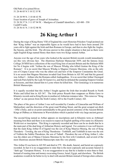Old Path of re-joined River. 51 28 46 05 N 3 10 52 35 W.

51 28 38 99 N. 3 10 48 43 W. Exact location of grave of Joseph of Arimathea. 51 28 58 37 N. 3 11 07 94 W. - Maelgwn of Llandaff identified c. AD 480 - 550 Cardiff Castle. 51 28 56 41 N. 3 10 52 98 W.

## **26 King Arthur I**

During the reign of King Henry VIII of England the court Historian Polydore Vergil pointed out that "King Arthur" was an impossible figure as he would have had to have been around 250 years old to fight against the Irish and then Romans in Europe, and then to also fight the Angles, the Saxons, and the Irish. The obvious answer to this simple situation is that just as there were eight English Kings named Henry then there were two Kings named Arthur.

Anyone over the age of ten years who looked at the ancient British records would immediately see this very obvious fact. The illustrious Harleian Manuscript 3859, and the famous Jesus College 20 MSS have collections of the royal King lists of ancient Britain and the Harleain MSS list No 4 begins with "Arthun the son of Mascen Wledig who killed Gratian the King of the Romans". It is no secret that Mascen Wledig is Magnus Clemens Maximus, who as the only son of Crispus Caesar who was the eldest son and heir of the Emperor Constantine the Great. It is no secret that Magnus Maximus invaded Gaul from Britain in AD 383 and that his general was Arthur I – Arthun who the Romans called Andragathius. It is no secret that Arthur I besieged and took Paris held by the Lady St Guenevive, and that he defeated the usurping Emperor Gratian at Soissons, and then chased him to Lyons where he killed him. This Genealogy is in numerous British Manuscripts.

It is equally recorded that this Arthur I fought against the Irish that invaded Reueth in North Wales and killed him in AD 367. The Irish prince Reueth then reappears as Rhitta Gawr to Khumric records and as King Ryons in mediaeval Arthurian romance tales. This removes "King Arthur" as one person from the Sixth Century AD to the Fourth Century AD.

The place of the grave of Arthur I was well recorded by Caradoc of Llancarfan and William of Malmesbury and the direction of the great road-Watling Street, and the great scraped out ditch - Offa's Dyke, and so on point unmistakably to the great ancient cemetery of the Ancient British Kings at Oldbury at Atherstone in Warwickshire which is packed with very large ancient graves.

The second King named as Arthur appears on inscriptions and in Khumric texts as Arthmael meaning Iron Bear and there is no reason to expect an English spelling of his name in a Khumric Welsh text or inscription. This King is copiously recorded and there can be no doubt that he is the main part of the dual king of Arthurian History and legend. For centuries it was well known that the main King Arthur II of legend was the son of King Maurice-Meurig, the son of King Theoderic - Tewdrig, the son of King Theodosius –Teithfallt, and Teithfallt in turn was the son of Teithrin the Subtle-Theodorus, the son of Tathall –Theodore the son of King Arthur I, who was the eldest son of Manus Clemens Maximus by his first wife Ceindrech, and several of the most illustrious ancient British Manuscripts state this very plainly.

This Arthur II was born in AD 503 and died in 579. His death, funeral, and burial are copiously recorded. In fact it is no exaggeration to state that is the most copiously and accurate funeral in "dark age" European History. It is no exaggeration to say that he is harder to miss than to find. Instead of wasting time and money excavating Greece, Israel, Egypt, and elsewhere. The British academics would do far better to try to deal with ancient Britain instead of foreign alien cultures.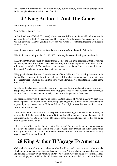The Church of Rome may not like British History but the History of the British belongs to the British people who are not all Roman Catholics.

# **27 King Arthur II And The Comet**

The Ancestry of King Arthur II is as follows:

King Arthur II Family Tree

 Arthur I had a son Tathall (Theodore) whose son was Teithrin the Subtle (Theodorus), and he had a son King Teithfallt (Theodosius), and his son was King Tewdrig (Theoderic), and his son was King Meurig (Maurice), and his eldest son was Arthur II – Arthmael meaning Iron Bear in Khumric "Welsh".

Stained-glass window portraying King Tewdrig who was Grandfather to Arthur II.

This Sixth century King Arthur II c AD 503579 is hugely recorded and again unmissable.

In AD 562 Britain was struck by debris from a Comet and this great catastrophe that devastated and destroyed most of the great island. The majority of the large population of between 9 to 10 million were annihilated. The lands were contaminated and diseased and it was death to enter these great Wastelands for around seven to eleven years.

This gigantic disaster is one of the major events of British history. It is probably the cause of the Roman Church insisting that no stone could ever fall from heaven onto planet Earth, until even these bigots were compelled to admit the truth when a large shower of meteorites landed near a French village in AD 1803.

Two things then happened as Angle, Saxon, and Jute, people swarmed into the empty and largely depopulated lands, where the survivors were struggling to restore their devastated and destroyed country. This was to become ludicrously known as the Anglo-Saxon Conquest.

The second disaster was the arrival in coastal Eastern Britain of Austin in AD 597, sent from Rome to preach Catholicism to the immigrant pagan Angles and Saxons. Rome was seizing the opportunity to get into Apostolic Christian Britain. The religious wars that went on for centuries were about to commence.

In the confusions of destruction and widespread disease resulting from these comet impacts, the King Arthur II had evacuated the army to Brittany (both Brittany and Normandy were British territories until c AD 952). He returned to Britain as the diseases abated. His brother had sailed west in search of new lands.

In his History of the Franks, the then living Gregory of Tours, a contemporary writer, records that the two Islands in the sea - Britain and Ireland - were on fire from end to end at a date which is easily fixed at AD 562. This would be the disaster resulting from the Comet debris striking large areas of Britain and Ireland.

## **28 King Arthur II Voyage To America**

Madoc Morfarn (the Cormorant), a brother of Arthur II, had sailed west in search of new lands, which might be a place where the people could live. In c AD 572 Madoc returned after ten years and detailed the discovery of America. In AD 573 Admiral Gwenon sailed to confirm Madoc's star reckonings, and in 575 Arthur II, Madoc, and Amwn Ddu sailed in a 700 ship fleet for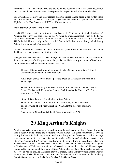America. All this is absolutely provable and again bad news for Rome. Bat Creek inscription shows a remarkable resemblance to the supposedly "forged" British Coelbren Alphabet.

The Gwarchan Maelderw and other records place the Prince Madoc being at sea for ten years, and so from 562 to 572. There is an array of physical evidence and inscriptions in the Coelbren Alphabet on the East Coast and Mid West of North America.

Artist depiction of burial King Arthur II burial.

In AD 574 Arthur is said by Taliesin to have been in Er-Yr ("towards that which is beyond" America) for four years. This brings us to 578, when he was assassinated. Then his body was kept under an overhang for the winter and brought back to Britain in the spring to summer of 579 for burial. This is clearly the best recorded funeral in British ancient history, which is why Arthur II is claimed to be "untraceable".

Ancient Coelbren-inscribed sword found in America. Quite probably the sword of Constantine the Great and a later possession of King Arthur II.

Maelgwn was then elected in AD 580. Everything fits into place from data in these records. So there were two powerful Kings named Arthur, and to avoid the enmity and wrath of London and Rome these were welded together into one great King.

The Anvil Stone used to point towards St Peters Church where King Arthur II was commemorated with a memorial stone.

Anvil Stone shows sword mark - possible origin of the Excalibur Sword in the Stone legend.

Stones of both Arthurs. (Left) Alan Wilson with King Arthur II Stone. (Right) Baram Blackett with King Arthur I stone. Both found at the Church of St Peters excavation in 1990.

Stone of King Tewdrig, Grandfather to King Arthur II. Stone of King Bodvoc (Budicius), a King of Brittany allied to Tewdrig. The excavation of St Peters Church in 1990, under the direction of Dr Eric Talbot.

Ancient Silver Cross found at the St Peters excavation in 1990.

## **29 King Arthur's Knights**

Another neglected area of research is probing into the real identity of King Arthur II knights. This is actually quite simple and a straight forward matter. His close companion Bedwyr ap Pedrog is clearly Sir Bedivere, who is listed in the Songs of the Graves as buried in the large grave mound on the Steep at Dindryfan. Another relative Cynfarch Oer had three sons in Owen (Sir Owain), Arawn (Sir Agravaine) and Llew (Sir Leoline). Llew means a Lion. Llew who married one of Arthur II five sisters had sons named as Gwalchmai - Hawk of May - who figures as Sir Gawaine or Wallwayne, and Modred who needs no introduction. Llywarch Hen (the Aged) figures as Sir Lamorak, and the enemy of King Arthur who was King Mark has been identified by scores of writers as King Mark also known as March, and in Brittany where he fled after the comet strike of AD 562 he was known as Count Comorre and as Conomurus. Arthur's Bishop Bedwini is remembered by the Bedwin Sands off the Gwent Coast.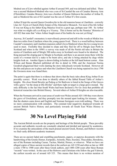Modred son of Llew rebelled against Arthur II around 569, and was defeated and killed. There was a second Medrawd-Modred who was a son of St Caurdaf the son of Caradoc Brawny Arm (Ffreichfras). Caradoc Brawny Arm was a brother of Queen Onbrawst the mother of Arthur II, and so Medrawd the son of St Caurdaf was the son of Arthur II's first cousin.

Arthur II kept the second Queen Gwenhwyfar in the old mansion house at Llaniltern - correctly Llan Ail -Teyrn or Church (Holy Estate) of the Alternative Monarch. For most of his life Arthur II was not King as his father King Maurice lived to a great age, perhaps near 100. So Arthur was what we might call a co-King or a Viceroy. This is borne out by the Nennius' Histories of AD 822 that state that "when Arthur fought most of his battles he was not yet King".

Anyway, St Caurdaf's monastery is marvellously preserved and still in the woods at Miskin less than two miles from Llaniltern where the young queen lived. There is a wood halfway between Caurdaf's monastery and Llaniltern mansion called Llwyn Medrawd where the two young lovers used to meet. Foolishly they decided to elope and they fled far off to Meigle near Perth in Scotland and when in the 1890's a survey was made of all the Parish old tales in Britain the stories of Llaniltern and of Meigle 500 miles away in Scotland were found to be identical. The King pursued the eloping pair to Meigle in Scotland, and there is an ancient stone there with the scene of a woman tied to a stake to be burnt alive, and she is being attacked by dogs whilst knights look on. Another figure is shown hiding in bushes at the left hand bottom corner. Alan Wilson and Baram Blackett published all this in detail in 1986, and the American Norma Goodrich plagiarised their work slanting the story ridiculously towards Scotland. However all the bits and pieces are in place and when the Llaniltern Church was being repaired in circa 1790 the Gwenora stone was found there.

The point is again that there is evidence that shows that the basic tales about King Arthur II are provably correct. Work was done to identify others of the fabled Round Table of Arthur's knights. His close friend Bewdyr ap Pedrog or Sir Bedivere is listed in the Songs of the Graves with a grave "on the steep at Din Dryfan" and there right on target is a large grave mound. The only difficulty is the fact that South Wales had been declared a No Go Area that prohibits all historical researches into British History. Several others of Arthur II Knights are also traceable.

When the Normans arrived in coast areas of south west Wales around AD 1100 they were shown the grave of Gwalchmai, and they promptly tore the mound apart looking for treasure. After that the shutters came down and English and Norman foreigners were told nothing. There was no more communication with outsiders. The constant total negativity displayed towards all ancient British Native History and particularly towards all South East Wales History is extraordinary.

#### **30 No Level Playing Field**

The Ancient British records are the property and heritage of the British people. These provably accurate and authentic records are constantly attacked and derided and ignored by academics. If we examine the antecedents of the much praised ancient Greek, Roman, and Hebrew records we find vastly different academic treatment.

There are no ancient faded and crumbling parchments, papers, or papyrus documents with the handwriting of the Greeks Homer, Euripedes, Aristotle, Plato, Socrates, Thucydides, Herodotus, nor of the Romans including Caesar, Tacitus, Martial, Horace, or whoever. What we have are alleged copies of these ancient records that at the earliest are AD 1250 and often as late as 1400 a mere 1700 to 1900 years after these Greek authors, and 1400-1200 years after these Roman "records" were written. In the case of the Hebrews and Christians who follow the god Yahweh, the earliest records are of around AD 325. This means that there is no written mention of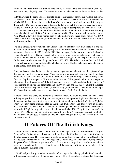Abraham until near 2000 years after his time, and no record of David or Solomon until over 1300 years after they allegedly lived. Yet we are expected to believe these copies or copies of copies.

In Britain where the damp variable climate, allied to centuries of destructive warfare, deliberate racist destructions, bacterial decay, bookworms, and the vast catastrophe of the Comet holocaust of AD 562, have all contributed to the loss of records that the academics demand for original documents. Copies of more ancient documents that were set down, as we have them today, around AD 1000, or 1100 are not good enough to support descriptions of events of AD 400 – 700. Even worse the great number of inscribed stones that litter Khumric Wales are deliberately ignored and distorted. If King Arthur II who died in AD 579 was to wait as long as the Hebrew King David to have his name written then we should have first heard about him in AD 1900. There is no Level Playing Field, and the demands made on British Historical Records are not made on any other Nation.

We have a massively provable ancient British Alphabet that is at least 2700 years old, and this marvellous cultural relic that is the property of the Khumric and British Nation has been attacked by morons. In the era of 1935 -1960 the BBC State monopoly Radio, more accurately the London Establishment English Radio, carried out a series of monstrous assaults against all ancient Khumric British records. Amongst these attacks was the allegation that the priceless relic of our British Ancient Alphabet was a forgery of around AD 1800. The Whole corpus of ancient British Historical records was denigrated and labelled as forgeries. This has to be the greatest falsehood in the history of cultural genocide.

Today archaeologists - the imaginative guesswork speculators and masters of deception - allege that ancient British inscribed stones in Wales that exhibit a mixture of Latin and British Coelbren letters are instead a mixture of Latin and "Irish" tree-alphabet lettering. This absurdity stems from an English surveyor in Northumberland named Collingwood, who had the supreme advantage of total ignorance of all British ancient History. He claimed that the technology of stone carving originated in Northumberland, (100% wrong), and that this technique then spread from North Eastern England to Ireland, (100% wrong), and then later when the ignorant stupid Welsh need stones to be carved and inscribed they asked the Irish to do the job.

A more asinine and crazy and completely incorrect theory by a total historical amateur is hard to imagine, yet this crass stupidity has been eagerly seized upon by English academics and all the ancient Welsh stones that carry a mixture of Latin and ancient British Coelbren Alphabet letters are now being mistranslated as Latin and Irish letters and this results in horrific miss-readings. The fact is that the "ancient" Irish tree-alphabet, that is so admired, was invented by a retired English army officer – a colonel - around AD 1700. They feel free to insult the British Welsh Nation and out goes the accession stone of King Theodosius the great grandfather of Arthur II, and out goes the stone of King Theoderic his grandfather, and so on and on. The situation is lunatic.

## **31 Palaces Of The British Kings**

In common with other Dynasties the British Kings had a palace and mansion houses. The great Palace of the British Kings is less than a mile north of Llanilltydfawr – now Lantwit Major on the Glamorgan Coast. This large palace was almost certainly destroyed in the Comet Catastrophe that devastated Britain in AD 562. The huge walls and mounds still stick up protruding through the grass of the field covering an area of over four acres and the perimeter walls enclose eleven acres, and everything that can be done to conceal the existence of this, the royal palace of the ancient Khumric Kings is done.

In 1888 local people organized an excavation of this huge ruin and they quickly found a number of human remains and even the remains of horses. This offered clear evidence that the palace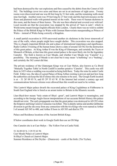had been destroyed by the vast explosions and fires caused by the debris from the Comet of AD 562. The buildings cover two acres and these are set in an enclosure of eight acres. Twenty rooms were discovered and one was 60 feet long by 51 feet wide, and the remaining walls stood nine feet high. Another room was 39 feet long by 27 feet wide and this had rich mosaics on the floors and plastered walls with painted murals on the walls. There were 43 human skeletons in this room, and the bones of three horses. The site was then reburied and covered over with turf. Local records are that the excavation was stopped by the arrival of "men in suits", which in Welsh terms meant foreign English officials from London. Clearly there was no wish to exhibit the Palace of the British Kings in Wales with German Hanoverians masquerading as Princes of Wales – instead of Wales being correctly a Kingdom.

A small partial excavation in 1938 uncovered another six skeletons in the lower stonework of one of the walls, where people might have sought shelter. This excavation was also stopped. This is a hugely important British site and a place of international importance and significance. Radio Carbon 14 testing of the human bones shows a date of around AD 562 for the destruction of this great palace. As King Arthur II was the King of Glamorgan, and certainly the Teyrn or Monarch of Britain, at that time this great ruined palace is the most likely site for the legendary Camelot. The field is known as Caer Meade, and whether Caer Meade was 'Camelot' is a possibility. The meaning of Meade is not clear but it may mean "a buffeting" or a "bashing", and certainly the 562 comet did that.

The private residence of the Glamorgan Kings was at Caer Melyn, also known as Cu Bwrd 'Mutually Together Table' in North Cardiff is another putative 'Camelot'. This castle was still there in 1453 when a wedding was recorded as being held there. Today the ruins lie under Castle Field. Either way, the idea of a great Palace of King Arthur existing is proven and just how long the authorities can keep the lid of silence this site remains to be seen. The Google Earth location is at  $-51$  26' 09 03 N, and 03 29' 55 63 W. If the Internet had existed a century ago and communications between citizens were allowed then this would not need to be written.

This Lantwit Major palace dwarfs the excavated palace of King Cogidubnus at Fishbourne in South East England who is listed as an arrant traitor to Britain in the Khumric records.

Llan-illtyd-fawr means "holy estate-of Illtyd –great", and Lantwit Major is meaningless, and according to the foreign Anglo-Saxon interpretations of our accurate British History this palace should not exist. The early propaganda was that the great palace was destroyed in AD 293 when the Emperor and King Carawn-Carausius was killed. This is plainly untrue and another deliberate diversion to get the site away from any connection with the two Kings who were named as Arthur I of around AD 345 to 400, and Arthur II born in AD 503 and died in 579.

Palace and Residence locations of the Ancient British Kings.

If below coordinates dont work in Google Earth then use an OS Map

One Camelot site is at Caer Melyn – The Yellow Fort at Castle Field.

51 26 09 03 N. 3 29 55 63 W. Caer Meade Palace at Lantwit Major. St Illtyd's Church at Llantwit Major. Summer Residence at Din Dryfan – (Dunraven) – castle of the birth. (Tin Tryfan).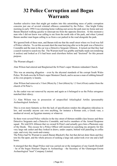#### **32 Police Corruption and Bogus Warrants**

Another selective item that might get readers into this astonishing mess of pubic corruption concerns just one of several criminal offences committed by the Police. One bright Friday morning in early 1994 I was returning home walking east across the park near my home and saw Baram Blackett walking quickly to intercept me from the opposite direction. At this moment a man who I did not know was calling to me from the north side of the park, and when I joined Baram another man began calling to us from a car parked in the road alongside the park.

We ignored both of these men, and Baram told me that the small street where we lived was full of Police vehicles. To cut this account short the man hurrying after us in the park was a Detective Constable and the man in the car was a Detective Sergeant Allinson. It turned out that they had a search warrant to search my flat. The Warrant itself was grubby and badly made out (rendering it useless) and looked as if it had been used elsewhere before and "doctored" for this present purpose.

The Warrant alleged: -

Alan Wilson had entered and Burglarised the St Peter's super Montem redundant Church.

This was an amazing allegation – even by the abysmal standards of the corrupt South Wales Police. We both own the St Peter's super Montem Church, and to accuse a man of robbing himself at his own property is lunatic.

Alan Wilson had removed a 3 foot (90cm) by 2 foot (60cm) by 1.5 foot (45cm) casket from the church of St Peter's.

As the casket was not removed by anyone and again as it belonged to us the Police arrogance matched their idiocy.

3.) Alan Wilson was in possession of unspecified Arkailogikal Artifax (presumably Archaeological Artefacts).

This is even more fantastic as first the lack of specification renders the allegation ridiculous in law, and secondly anyone can own anything, for instance a Roman coin, a Greek vase, a mediaeval sword, an Egyptian mummy or whatever.

So there were several Police vehicles in the tiny street of thirteen middle-class houses and three Detective Sergeants and a Detective Constable, and twelve members of the Armed Response squad. We told D/S Allinson that we owned St Peter's and actually gave him a Photostat copy of the Deeds. This excuse for a Police Officer still insisted on searching my property for this very large oak casket and they looked in draws, under carpets, behind wall panelling in coffee cups, and every tiny nook-and-cranny.

The Police had No Warrant to search Baram Blackett's flat, but that did not deter them and they tore his flat apart, and the whole process of seeking a large oak casket took over one and a half hours.

It emerged that this illegal Police raid was carried out at the instigation of one Gareth Dowdell - he of the bogus Honours Degree in Archaeology - the Secretary of the Glamorgan-Gwent Archaeological "trust" Company Limited.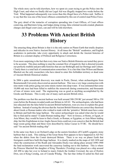The whole story can be told elsewhere, how we spent six years trying to get the Police into the High Court, and when we finally did our Legal Aid was illegally stopped two weeks before the Trial. What happened subsequently was worse than this illegal farce of a Police raid. Suffice it to say that this was one of the lesser offences committed by this out of control mad Police Force.

The gory detail of the tentacles of corruption spreading into Court Offices, of Court offices conniving, and Barristers lying, and Judges doing wrong, false criminal records created, phantom charges and illegal court cases, can and will be told elsewhere.

#### **33 Problems With Ancient British History**

The amazing thing about Britain is that it is the only nation on Planet Earth that totally despises and ridicules its own Native Ancient History. At all times the "British" academics, and English academics in particular, take every opportunity to attack and deride the Ancient histories of Britain in a constant display of Political and Religious Correctness.

Even more surprising is the fact that every time our Native British Histories are tested they prove to be accurate. This does nothing to stop the constant flow of negativity that is directed towards our perfectly truthful and provable histories that are our Birthright and our Heritage and Culture. Clearly there is a total lack of communication somewhere. It is a fact that Alan Wilson and Baram Blackett are the only researchers who have dared to enter this forbidden territory or dead zone of Ancient British Historical studies.

In 2004 a quite sensational discovery was made in Poole, Dorset, when archaeologists from Bournemouth University discovered an ancient harbour. This was a very large construction with nine metre wide jetties going out some ninety meters into deep water. It was estimated that some 10,000 oak trees had been felled to stabilize the stonework during construction, and thousands of tons of stones were used. The engineering was as good as anything accomplished by the Greeks and Romans. This is only one of many such ancient British relics.

The problem was that this ancient harbour was built around 300-250 BC just around 300 to 350 years before the Romans invaded south east Britain in AD 42. The archaeologists, who had been mis-educated into the false belief in ancient British barbarism, were at a loss to explain this great harbour. Instead of seeing the obvious that the Ancient British Histories are correct they theorised about Greek or Roman traders who wished to trade with the 'primitive' British must have come to Britain and built this large harbour. The senior archaeologist was asked what else he would like to find and he stated "A laden Roman trading ship." Now in Greece, or Rome, or Egypt, or Asia Minor, they would be keen to find a Greek, or Roman, or Egyptian, or Asia Minor trading ship, but this Englishman in true Anglo-Saxon form could not even conceive that the British had large ocean going ships and these were described by Julius Caesar in 55 BC. He should have said "An ancient British trading ship"

In the same way there is on Orchard Ledge on the eastern foreshore off Cardiff a gigantic stone harbour that is sunk. This sinking of the Great Stone Port appears to have happened in AD 562 when the debris from the Comet destroyed Britain. There is no way on planet Earth that foreigners could have built this huge harbour. It is clearly marked on the maps of AD 1858 and when the construction of the Roath and Alexandra Docks was taking place around 1890-1900 the land reclamation work uncovered the causeway leading out to this harbour. This is where the Princess Marchell the daughter of King Theoderic (Tewdrig) was placed on a ship around AD 490 to take her over to Ireland to marry Enlech the Golden Crowned, the son of Hydwn Dwn, son of King Ceredig, son of Cuneda Wledig. The fact that Arthur II sailed his fleet and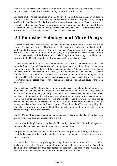army out of this harbour and this is also ignored. There is not the slightest interest taken or shown in major British historical relics, or any other relics for that matter.

The same applies to the triumphal arch said to have been built by King Ludd at Ludgate in London. When this was discovered in the late 1990's it was instantly and totally wrongly misidentified as "Roman" by the historically blind archaeologists. Alan Hassell, a historical researcher in London, and Adrian Gilbert, were both amazed at this incredibly wrong attribution as was everyone else with any knowledge of British History. The list of this deliberate blindness towards British History and anti-British racist attitudes is endless.

#### **34 Publisher Sabotage and More Delays**

In 2005 we decided that we were ready to launch our planned series of definitive books on British History, Heritage and Culture. This time we decided to publish in Canada and also decided to publish under the name of Grant Berkley with that person's co-operation. This secrecy and the use of the name Grant Berkley would allow things to slip past British secret police. In early 2005 the Manuscript and the illustrations of "The King Arthur Conspiracy", our Sixth Book, were sent to the UK office and the book was successfully published in Canada.

In 2006 we decided to go ahead with the publication of "Moses in the Hieroglyphs" and once again the Manuscript and illustrations and other paraphernalia including a large cheque, were sent to the Crewe Office in the UK of the Canadian publishers. After seven weeks of a planned six weeks print off we became a little worried, and so telephoned the Canadian Head Office in Canada. Well maybe we should not have been surprised, but the assurances coming out of the UK Crewe Office that all was under-way and proceeding well were a pack of lies. The Canadian Head Office had no record whatsoever of the Book or the Cheque and had never ever heard a word about it.

The Canadians – and NO blame attaches to them whatsoever - reacted swiftly and within a few hours that same day they had two people in a plane and on their way to Britain. They surprised the Crewe Office staff arriving suddenly in the afternoon. They searched one of the three offices and found nothing, and went to get some sleep and returned the next morning to continue their search. On a hunch they decided to re-search the first office, and there was a large steel locked cabinet that they had already searched the previous afternoon. Lo and Behold! There inside this already searched cabinet was the Manuscript, the Illustrations, the CD's and everything else. The detail of who, how, and why, will be told in the forthcoming book on the struggle with the bent and corrupt British establishment.

The UK Crewe office was closed down and one culprit sacked immediately. The others were laid off when the office was transferred to Oxford.

It seems that the lady's husband had been befriended by a known MI5 "little john" agent and somehow she had been persuaded to remove the documentation.

The politicians and their lackeys in the bureaucracy, the police, the courts, the media, and certainly the academics, have so far failed to crush and eliminate the research into our ancient British Heritage.

To hear British Politicians complaining about illegalities in other countries in Europe or Africa or elsewhere, is a joke. They need to put their own ramshackle house in order first. We will be detailing all the outrages that have been perpetrated against us, and possibly the Human Rights acts in Britain can be extended to include White Blood-British citizens.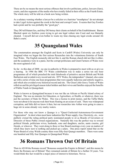These are by no means the most serious offences that involve politicians, police, lawyers (liars), courts, and also segments of the media who have totally failed in their office as the Fourth Estate. The whole story will be told on a book now being written.

As a salutary warning whether a lawyer be a solicitor or a barrister "mouthpiece" do not attempt to take Legal Action against the crook in the bent and corrupt Courts. It seems that Guy Fawkes had a point and he was probably the "good guy".

They DO tell blatant lies, and they DO betray their clients on behalf of the Establishment. Baram Blackett spent six fruitless years trying to get one legal vulture into Court and was blatantly cheated. I myself did not even bother to waste my time chasing any legal crooks around Ali Baba's courts.

## **35 Quangoland Wales**

The consternation amongst the English and Scots in Cardiff (Wales) University can only be imagined when we began the first serious Researches into the voluminous histories of South East Wales. The English monarchy did not like it, and the Roman church did not like it either, and the academics were in a panic, but the corrupt politicians and Grant Farmers of Wales were the most agitated of all.

So far - to this date of 2008 - no one in authority in Wales is prepared to meet with us or give us a hearing. In 1986 the BBC TV Wales contribution was to make a series ten one hour programmes all of which preached the total falsehoods of primitive ancient British and Welsh Barbarism and avoided every record and site. HTV Wales, the independent ? channel, also came up with a series of nine one hour programmes that were equally ludicrous and entirely negative, and which also avoided every historical record and site. The Great Little Gravy Trains of Wales rolled on and the privileged season ticket holders and their wives and families enjoyed the benefits of Public Funds in Quangoland.

Wales is known as Quangoland because it was run like an African or Pacific Island colony of England. The was no minister for Education, or Agriculture, or Health, or whatever, there was just the secretary of State for Wales. This was a license to print money, and the Taffia Mafia were not about to let anyone rock their boats floating on an ocean of cash. There was widespread corruption, and little did we know it then, but our researches into Arthur were going to cause a huge stir in some already very murky waters.

For those who may not know a Quango is a "Quasi-Unelected-Autonomous-Government Organization". In short when most basic industries like Water supply, Gas, Electricity, etc., were publicly owned the ruling political party nominated people to sit as Boards of Governors or Directors of those Public owned organizations. Naturally this was the perfect way to reward political friends, politicians wives, husbands, sons and daughters, uncles, aunts cousins, girl friends, or whoever. They went along to three or four Board meetings every year on matters of which they knew next to nothing and picked up a salary. One press report stated that on the Water Board of a tiny Welsh country there were fifty-four Quango members. There were some one hundred and fifty four Quangos in Quangoland Wales.

## **36 Romans Thrown Out Of Britain**

Then in AD 80 the Romans record "Bonassus usurped the Empire in Britain", and this means he threw the Romans out of Britain! They remained outside of Britain for a further 34 years. You would think this fact would be a major piece of interest to historians. Not so.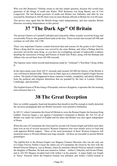Who was this Bonassus? Nobody seems to ask this simple question, because this would raise questions of the Kings of south east Wales. Well Bonassus was King Baram, son of Ceri Longsword. The last Roman governor of south east Britain was Sallustus, and after he was executed by Domitian in AD 80, there were no more Roman officials in Britain for over 40 years.

This proves once again that the British Kings ruled independently, and also matches British Histories recording independence in this period.

## **37 "The Dark Age" Of Britain**

The ancient Charters of Llandaff Cathedral and Llancarfan Abbey actually record the Kings and occasionally Princes who granted them lands at the time. These records start around AD 400 and continue on well after AD 1100.

These very important Charters contain historical data and reasons for the grants to the Church. When a King died his successor was served by the same Bishop, and when a Bishop died his successor served the same King, so you have an overlapping cascade of impeccable evidence detailing the succession of Kings and Princes of South East Wales, along with the Bishops and Abbots who served them from AD 400 onwards.

The Ogmore stone which records land donations made by "Arthmael" ("Iron Bear") King Arthur  $II$ 

In the intervening years from AD 51 onwards until around AD 600 the History of the British is very well known and provable. There were no Dark Ages as is claimed by English (Anglo-Saxon) writers. The detail of what happened in those centuries is totally, completely, and utterly different, from the political and religious distortions that are paraded by the liars in London, Oxford, Cambridge, and elsewhere.

The English fiction of Wales being a Principality and not a Kingdom, evaporates like the morning mist nonsense that it is.

#### **38 The Great Deception**

Here we exhibit a gigantic fraud and deception that should in itself be enough to totally demolish the incorrect propaganda that our British Ancestors were primitive barbarians.

In AD 311 when Constantine the Great left Britain to seize the Roman Empire his kinsman King Euddaf- Octavius began a war against Constantine's lieutenant in Britain. By AD 322 all of Britain was under the control of Euddaf and his allies and Britain was once again independent of Rome.

When the sons of Constantine the Great and his second wife Fausta fought and killed each other there was an era of several successive Western Emperors who were mainly active in Gaul and with apparent British support. Three of the most prominent of these Western Emperors left memorial stones in Western Britain near large mounds. All three are traceable in ancient British genealogies.

The rightful heir to the Roman Empire was Magnus Clemens Maximus who was the only son of Crispus Flavius Nobilis Caesar the eldest son of Constantine the Great by his first wife the British Princess Minerva, was in Britain, where he married a British Princess named Ceindrech the daughter of Rheiden. He had sons named as Arthun – Arthur I, Ednyfed, and Owain Ffindu, and in AD 383 Magnus invaded Gaul with Arthur I as his general. A major battle was fought at 'Sassy' Soissons where the Emperor Gratian was defeated, and Arthur I killed Gratian at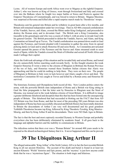Lyons. All of western Europe and north Africa went over to Magnus as the rightful Emperor. Arthur I, who was known as King of Greece, went through Switzerland and Italy and crossed over into the Balkans where he fought two major battles at Sisica and Poetovio against the Emperor Theodosius of Constantinople, and was forced to return to Britain. Magnus Maximus was surprised at Ravenna and killed after a rapid surprise march made by Theodosius' troops.

Theodosius sent his general into Britain and he withdrew in great haste after a few months, and Britain still remained independent under her own kings. Then in AD 406 a massed confederation of the Vandals, Sueves, and Alans, crossed the Rhine under King Godigeisel, and proceeded to destroy the Roman army and to devastate Gaul. The British sent a King Constantine, also traceable in the genealogies and who was a cousin of Arthur I, with an army to invade Gaul with his general Geraint. The British proceeded to defeat the Vandals, Sueves, and Alans, and King Constantine set himself up at Treves. The Vandal confederation was penned down south in Gaul against the Pyrenees, and Geraint pleaded with Constantine to gather the army from its spread policing duties in Gaul and to attack Honorius III and seize Rome. As Constantine prevaricated Geraint opened the passes of the Pyrenees and the Sueves and Alans streamed south to seize much of Spain, whilst the Vandals crossed the Strait of Gibraltar and seized all North Africa and made Carthage their capital.

Alaric the Goth took advantage of this situation and he invaded Italy and seized Rome, and looted the city unmercifully before marching south towards Sicily. In this fraught situation the weak Emperor Honorius II wrote a letter to the citizens of Rhegium in Brittium the Roman Province of the toe of Italy, and Honorius warned these Southern Italian citizens that Alaric was approaching and that he could do nothing to help them. They were on their own. The people of Rhegium in Brittium in Italy were in luck however and Alaric caught a fever and died. The motionless Constantine III was caught at Treves and killed by a Roman army and Honorius III survived.

The historians Zosimus and Olympidorus both record all this. Now London politics enters the arena, with the powerful British state independent of Rome and a British war King sitting in Gaul the false propaganda is that the letter sent by Honorius to Rhegium near the Strait of Messina, was instead sent to the weak helpless citizens of Great Britain. It is difficult to image a greater deliberate falsehood and deception than this that has been foisted onto the unsuspecting people of Britain. This falsehood that had succeeded in blotting out the FACT that from AD 322 Britain was free from Rome, and that for most of the preceding 280 years Britain was also independent of Rome has been successfully obscured and British History has been totally distorted. In Britain the descendants of Arthur I are very well documented and his great grandson Teithfallt-Theodosius became top King, followed by King Theoderic-Tewdrig, King Maurice– Meurig, and then by King Arthur II and his descendants. There were NO Dark Ages in Britain.

The fact is that the best and most copiously recorded Dynasty in Western Europe and probably everywhere else has been deliberately eliminated by academic fraud. It all goes back to the language and alphabet barriers and the inability to communicate in Britain.

The ridiculous notion that there ever was a "Roman Britain" for around 400 years needs to be exposed as the absurd archaeological fantasy that it is. It never happened and this can be proved.

## **39 The Ubiquitous King Arthur II**

The alleged untraceable 'King Arthur' of the Sixth Century AD is in fact the best recorded British King in all our ancient Histories. The account of his death and burial is found in at least ten ancient Khumric 'Welsh' histories and Epic poems, and the 'mystery' is just how anyone could think that he was a 'mysterious figure'. The situation is both tragic and hilarious.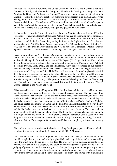The fact that Edward is Iorwerth, and Julius Caesar is Iwl Kesar, and Ostorius Scapula is Euroswydd Wledig, and Maurice is Meurig, and Theoderic is Tewdrig, and Gwrgan Mawr is Aurelian the Great, and Ambrosius is Amlodd Wledig, appears not to have registered with the academics. Also the ridiculous practice of preferring to use foreign alien Roman names when dealing with our British Histories is asinine stupidity. To write Cassivelaunius instead of Caswallon is idiotic, as Caswallon is NOT a name and it means a Viceroy – "ruler of a separate part of the state", and the requirement is to find the Prince behind that title. Cadwallader is not a name and it means Battle Sovereign, and again the question is "who was he"?

To find Arthur II look for Arthmael - Iron Bear, the son of Meurig - Maurice, the son of Tewdrig - Theoderic. The simple fact is that this King Arthur II was a sixth generation direct descendant of King Arthur I, and it is harder to miss either or both of these Kings than it is to find them. Let there be NO doubt that Glastonbury Abbey in Somerset in England is a total fake that was not founded until AD 941. King Arthur I died around AD 400 and King Arthur II died in AD 579, and No 1 is buried in Warwickshire and No 2 is buried in Glamorgan. Arthur I was the legendary mediaeval Guy of Warwick - Guy being 'gwyr' or 'gwr' – Man of Warwick.

Joseph of Arimathea was NOT buried in Glastonbury founded in AD 941, and instead he lies in Cardiff close to Llandaff where Maelgwn of Llandaff identified his grave. King Arthur II was not born in Tintagel in Cornwall but instead at Din Dryfan (Din Dagol) in South Wales. Once these ridiculous frauds are disposed of and relegated to the realm of Pinochio, Snow White & the Seven Dwarfs, Daffy Duck, and the Flintstones, sanity can be restored to our perfectly accurate and very well recorded British Histories. Mediaeval monks were the greatest liars and con-men around. They had sufficient Holy Blood of Jesus scattered around in glass vials to sink the Titanic, and the mass of timber splinters alleged to be from the Holy Cross would build most of Admiral Nelson's fleet at Trafalgar. Pilgrims were mediaeval tourists and the whole idea was to make money as it still is today. The present attitude of allowing the frauds at Glastonbury and Tintagel to be paraded as amusing possibilities, and denigrating all Khumric "Welsh" accurate records is anti-Welsh and racist.

This untraceable sixth century King Arthur II has four brothers and five sisters, and his ancestors and descendants and very well proved with graves and inscribed stones. The marriages of his sisters are recorded and evidence of his brothers Idnerth, Frioc, Madoc Morfran, and Paul (King Poulentius) exists. Hopefully the readers will share our utter astonishment and incredulity that the Welsh inscribed stones that bear some mixture of Latin and the old Welsh Coelbren Alphabet and being treated as a mixture of Latin and the Irish tree-alphabet (invented by a retired army colonel after AD 1700). The massive insult is that the Khumric Welsh could not read or write and the Irish had to come over to Wales to carve and inscribe stones for them. This utter academic idiocy would not be tolerated anywhere else on Earth and the English archaeologists would be told to go home and to stay home. This ludicrous academic campaign does succeed in fooling the public and the accession and memorial stones of King Theodosius, and King Theoderic , who were Arthur II's great-grandfather, and grandfather, are completely misread, as are many others.

The reader is invited to read what Strabo the travelling Greek geographer and historian had to say about the barbaric and illiterate British around 50 BC - 2060 years ago: -

"He came, not clad in skins like a Scythian, but with a bow in his hand, a quiver hanging on his shoulders, a plaid wrapped about his body, a gilded belt encircling his loins, and trousers reaching from the waist down to the soles of his feet. He was easy in his address, agreeable in his conversation; active in his despatch, and secret in his management of great affairs; quick in judging of present accuracies; and ready to take his part in any sudden emergency; provident withal in guarding against futurity; diligent in the quest of wisdom; fond of friendship; trusting very little to fortune, yet having the entire confidence of others, and trusted with everything in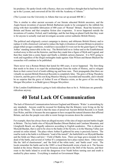his prudence. He spoke Greek with a fluency, that you would have thought that he had been bred up in the Lyceum, and conversed all his life with the Academy of Athens."

(The Lyceum was the University in Athens that was set up around 400 BC.)

This is similar to other ancient accounts of our literate educated British ancestors, and the Anglo-Saxon invention of ancient British Barbarism needs to be consigned to the rubbish bin along with their incredible fabrication of 400 years of "Roman" Britain. Read the histories of Britain and Rome and that complete fiction also evaporates. It never happened outside the inventions of London, Oxford, and Cambridge, and the last thing on planet Earth that they want is for anyone to actually read and investigate accurate correct authentic British History.

The political and religiously correct campaign to destroy and obliterate British History and to replace it with a historical void and to reduce the high civilization of ancient Britain to primitive jungle tribal savages conditions, would have succeeded if it were not for the giant figure of 'King Arthur' standing immovable in the way. The British held on to Arthur and so the Establishment worked away to blot out the histories, and then they made him a figure of Myth and Legend, and then they made him a comic figure and finally a childish cartoon character. It is NOT going to work and regardless of the illegal onslaughts made against Alan Wilson and Baram Blackett the researches will continue to be published.

There never was a Roman Britain that lasted for 400 years, it never happened. The first thing that needs to be done is to expel the archaeologists from the realm of History, and to relegate them to their correct level of tomb robbing rag and bone men. Their propaganda (that there are virtually no ancient British Historical Records) is completely false. The grave of King Theoderic is known, and the grave of his son King Maurice-Meurig is recorded and traceable, and it should be no surprise that the grave of Arthur II son of Maurice exists, as the grave of his son King Morgan Mwynfawr is at Bedd (grave) Morgan Mwynfawr.

If the London Establishment is going to look ridiculous then so be it. Politicians are generally ridiculous anyway.

## **40 Total Lack Of Communication**

The lack of Historical Communication between England and Khumric 'Wales' is astonishing by any standards. Anyone could be excused for thinking that the Khumry were living on the far side of the Moon. The result is that the mass of preserved Ancient British Records is in South East Wales, and this is because the area appears to have escaped the natural disasters that afflicted Britain, and also the people were able to resist foreign invasions down the centuries.

For example, there has always been an alleged mystery of the sites of major ancient battles fought in Britain. The key battle sites of Mynydd Baedan (Mount Badon) and Camlann Mountain, and Llongborth Beach, are allegedly unknown according to English academics. This is absurd as Mynydd Baedan, that is said to be close to the banks of the Severn, is in the Maesteg Valley just around six miles inland. The place where Arthur II gathered his army is precisely known. The road he took to the battle is in Khumric "road of the tumult", the battlefield is on Mynydd Baedan and the fields are Maes-cad-lawr = Field of Battle Area. There are huge grave-mounds for the dead of the battle, and several of Arthur II's companions have place names there. Other names like the 'dell of chastisement', and 'the field of the white tents,' and 'battle court' exist. The locals remember the battle and in the 1880's a local blacksmith wrote a book on it. The Saxons landed at the Jersey Marine area near Swansea and moved to the Dell of the Saxons, and their route to the battle inland to avoid the dangerous river Neath before turning east and south is marked by place names. Everything is marked on Government Maps.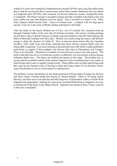Arthur II is said to have landed at Llongborth beach around AD 569, and a long flat sandy beach that is ideal for an invasion fleet to put an army ashore had a nearby farmhouse and was named as Llongborth until AD 1926, when someone, for devious unknown reasons, changed the name to Llanborth. The Prince Geraint is recorded as being mortally wounded in the battle in the surf and a coffin was sent from Brittany as he lay dying. This is recorded in a Saint's Life. Three miles inland is Bedd Geraint Farm - Grave of Geraint Farm - complete with his large grave mound. Close by is the stone of Bledri another participant in the battle.

After the battle on the beach, Modred son of Llew, son of Cynfarch Oer, retreated north up through Camlann Valley on the west side of Camlann mountain. This narrow winding pitching up and down valley is dotted with grave mounds, and local tradition is that the Thermopylae like battle of Mynydd Camlann took three days. Modred was clearly using the narrow and difficult terrain to delay the advance of Arthur II. How in heavens name writers like the Canadian Geoffrey Ashe could write nine books claiming that these obvious ancient battles sites are untraceable is amazing. Even more amazing is the persistent zeal with which London publishers print books in support of these pathetic and obvious false sites at Glastonbury and Tintagel. There is no Mynydd – Mountain of Camlann in Cornwall and racism is the only answer. The point is that there has never ever been any mystery or difficulty over the location of these famous Arthurian Battle sites. The places are marked and named on the maps. The problem lies in racism and the incredible refusal of the modern English to look at anything that is not written in dead foreign alien Latin, or equally foreign Greek. These battles sites are plain and obvious and they open up the Pandora's Box of having to admit that King Arthur II was Khumric Welsh. Again the problem is one of a total refusal to communicate.

The plethora of clear information on the death and burial of King Arthur II makes his the best and more clearly recorded death and funeral of Ancient Britain. There is NO King Arthur Mystery, and there never was until the deceitful forgeries of Glastonbury Abbey in South West England were perpetrated. Seeking for a massively recorded Welsh King in England is as crazy as looking for Polar Bears in the Sahara Desert. Napoleon lies buried in Paris, France, and not in Moscow or Instanbul.

·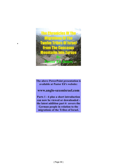

·

**The above PowerPoint presentation is available at Pastor Eli's website:**

#### **www.anglo-saxonisrael.com**

**Parts 1 - 6 plus a short introduction can now be viewed or downloaded the latest addition part 6 covers the German people in relation to the migrations of the Tribes of Israel.**